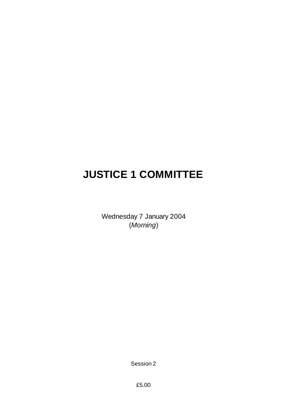# **JUSTICE 1 COMMITTEE**

Wednesday 7 January 2004 (*Morning*)

Session 2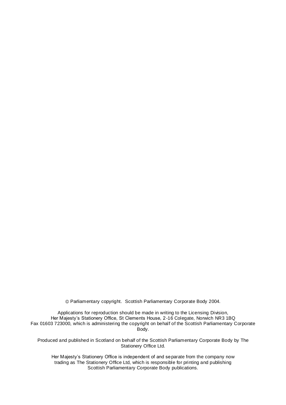Parliamentary copyright. Scottish Parliamentary Corporate Body 2004.

Applications for reproduction should be made in writing to the Licensing Division, Her Majesty's Stationery Office, St Clements House, 2-16 Colegate, Norwich NR3 1BQ Fax 01603 723000, which is administering the copyright on behalf of the Scottish Parliamentary Corporate Body.

Produced and published in Scotland on behalf of the Scottish Parliamentary Corporate Body by The Stationery Office Ltd.

Her Majesty's Stationery Office is independent of and separate from the company now trading as The Stationery Office Ltd, which is responsible for printing and publishing Scottish Parliamentary Corporate Body publications.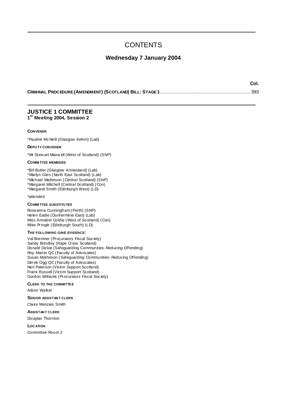# **CONTENTS**

# **Wednesday 7 January 2004**

**Col.**

# **JUSTICE 1 COMMITTEE 1 st Meeting 2004, Session 2**

#### **CONVENER**

\*Pauline McNeill (Glasgow Kelvin) (Lab)

#### **DEPU TY CONVENER**

\*Mr Stew art Maxw ell (West of Scotland) (SNP)

#### **COMMI TTEE MEMBERS**

\*Bill Butler (Glasgow Anniesland) (Lab) \*Marlyn Glen (North East Scotland) (Lab)

\*Michael Matheson (Central Scotland) (SNP)

\*Margaret Mitchell (Central Scotland) (Con)

\*Margaret Smith (Edinburgh West) (LD)

\*attended

# **COMMI TTEE SUBSTITU TES**

Roseanna Cunningham (Perth) (SNP) Helen Eadie (Dunfermline East) (Lab) Miss Annabel Goldie (West of Scotland) (Con) Mike Pringle (Edinburgh South) (LD)

#### **THE FOLLOWING GAVE EVIDENCE:**

Val Bremner (Procurators Fiscal Society) Sandy Brindley (Rape Crisis Scotland) Donald Dickie (Safeguarding Communities-Reducing Offending) Roy Martin QC (Faculty of Advocates) Susan Matheson (Safeguarding Communities-Reducing Offending) Derek Ogg QC (Faculty of Advocates) Neil Paterson (Victim Support Scotland) Frank Russell (Victim Support Scotland) Gordon Williams (Procurators Fiscal Society)

#### **CLERK TO THE COMMITTEE**

Alison Walker

**SENIOR ASSISTAN T CLERK**

Claire Menzies Smith

## **ASSISTAN T CLERK**

Douglas Thornton

**LOC ATION**

Committee Room 2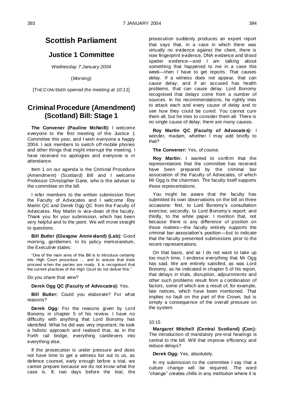# **Scottish Parliament**

# **Justice 1 Committee**

*Wednesday 7 January 2004*

(*Morning*)

[THE CONV ENER *opened the meeting at 10:11*]

# **Criminal Procedure (Amendment) (Scotland) Bill: Stage 1**

**The Convener (Pauline McNeill):** I welcome everyone to the first meeting of the Justice 1 Committee this year, and I wish everyone a happy 2004. I ask members to switch off mobile phones and other things that might interrupt the meeting. I have received no apologies and everyone is in attendance.

Item 1 on our agenda is the Criminal Procedure (Amendment) (Scotland) Bill and I welcome Professor Christopher Gane, who is the adviser to the committee on the bill.

I refer members to the written submission from the Faculty of Advocates and I welcome Roy Martin QC and Derek Ogg QC from the Faculty of Advocates. Roy Martin is vice-dean of the faculty. Thank you for your submission, which has been very helpful and to the point. We will move straight to questions.

**Bill Butler (Glasgow Anniesland) (Lab):** Good morning, gentlemen. In its policy memorandum, the Executive states:

"One of the main aims of this Bill is to introduce certainty into High Court procedure … and to ensure that trials proceed w hen the parties are ready. It is recognised that the current practices of the High Court do not deliver this."

Do you share that view?

# **Derek Ogg QC (Faculty of Advocates):** Yes.

**Bill Butler:** Could you elaborate? For what reasons?

**Derek Ogg:** For the reasons given by Lord Bonomy in chapter 5 of his review. I have no difficulty with anything that Lord Bonomy has identified. What he did was very important; he took a holistic approach and realised that, as in the Forth rail bridge, everything cantilevers into everything else.

If the prosecution is under pressure and does not have time to get a witness list out to us, as defence counsel, early enough before a trial, we cannot prepare because we do not know what the case is. If, two days before the trial, the prosecution suddenly produces an expert report that says that, in a case in which there was virtually no evidence against the client, there is now fingerprint evidence, DNA evidence and blood spatter evidence—and I am talking about something that happened to me in a case this week—then I have to get reports. That causes delay. If a witness does not appear, that can cause delay; and if an accused has health problems, that can cause delay. Lord Bonomy recognised that delays come from a number of sources. In his recommendations, he rightly tries to attack each and every cause of delay and to see how they could be cured. You cannot cure them all, but he tries to consider them all. There is no single cause of delay; there are many causes.

**Roy Martin QC (Faculty of Advocates):** I wonder, madam, whether I may add briefly to that?

**The Convener:** Yes, of course.

**Roy Martin:** I wanted to confirm that the representations that the committee has received have been prepared by the criminal bar association of the Faculty of Advocates, of which Mr Ogg is the chairman. The faculty itself supports those representations.

You might be aware that the faculty has submitted its own observations on the bill on three occasions: first, to Lord Bonomy's consultation exercise; secondly, to Lord Bonomy's report; and thirdly, to the white paper. I mention that, not because there is any difference of position on those matters—the faculty entirely supports the criminal bar association's position—but to indicate that the faculty presented submissions prior to the recent representations.

On that basis, and as I do not want to take up too much time, I endorse everything that Mr Ogg has said. We are entirely satisfied, as was Lord Bonomy, as he indicated in chapter 5 of his report, that delays in trials, disruption, adjournments and other such problems result from a combination of factors, some of which are a result of, for example, late notices, which have been mentioned. That implies no fault on the part of the Crown, but is simply a consequence of the overall pressure on the system.

#### 10:15

**Margaret Mitchell (Central Scotland) (Con):**  The introduction of mandatory pre-trial hearings is central to the bill. Will that improve efficiency and reduce delays?

**Derek Ogg:** Yes, absolutely.

In my submission to the committee I say that a culture change will be required. The word "change" creates chills in any institution where it is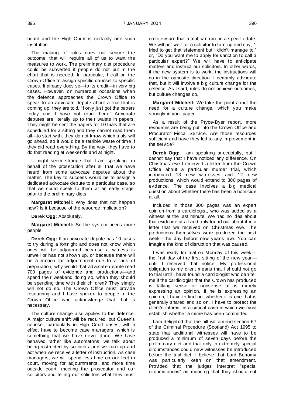heard and the High Court is certainly one such institution.

The making of rules does not secure the outcome; that will require all of us to want the measures to work. The preliminary diet procedure could be subverted if people do not put in the effort that is needed. In particular, I call on the Crown Office to assign specific counsel to specific cases. It already does so—to its credit—in very big cases. However, on numerous occasions when the defence approaches the Crown Office to speak to an advocate depute about a trial that is coming up, they are told, "I only just got the papers today and I have not read them." Advocate deputes are literally up to their waists in papers. They might be sent the papers for 10 trials that are scheduled for a sitting and they cannot read them all—to start with, they do not know which trials will go ahead, so it would be a terrible waste of time if they did read everything. By the way, they have to do that reading at weekends and at night.

It might seem strange that I am speaking on behalf of the prosecution after all that we have heard from some advocate deputes about the matter. The key to success would be to assign a dedicated advocate depute to a particular case, so that we could speak to them at an early stage, prior to the preliminary diets.

**Margaret Mitchell:** Why does that not happen now? Is it because of the resource implication?

**Derek Ogg:** Absolutely.

**Margaret Mitchell:** So the system needs more people.

**Derek Ogg:** If an advocate depute has 10 cases to try during a fortnight and does not know which ones will be adjourned because a witness is unwell or has not shown up, or because there will be a motion for adjournment due to a lack of preparation, why would that advocate depute read 700 pages of evidence and productions—and spend their weekend doing so, when they should be spending time with their children? They simply will not do so. The Crown Office must provide resourcing and I have spoken to people in the Crown Office who acknowledge that that is necessary.

The culture change also applies to the defence. A major culture shift will be required, but Queen's counsel, particularly in High Court cases, will in effect have to become case managers, which is something that we have never done. We have behaved rather like automatons; we talk about being instructed by solicitors and we turn up and act when we receive a letter of instruction. As case managers, we will spend less time on our feet in court, moving for adjournments, and more time outside court, meeting the prosecutor and our solicitors and telling our solicitors what they must do to ensure that a trial can run on a specific date. We will not wait for a solicitor to turn up and say, "I tried to get that statement but I didn't manage to," or, "Do you want me to apply for sanction to call a particular expert?" We will have to anticipate matters and instruct our solicitors. In other words, if the new system is to work, the instructions will go in the opposite direction. I certainly advocate that, but it will involve a big culture change for the defence. As I said, rules do not achieve outcomes, but culture changes do.

**Margaret Mitchell:** We take the point about the need for a culture change, which you make strongly in your paper.

As a result of the Pryce-Dyer report, more resources are being put into the Crown Office and Procurator Fiscal Service. Are those resources sufficient and have they led to any improvement in the service?

**Derek Ogg:** I am speaking anecdotally, but I cannot say that I have noticed any difference. On Christmas eve I received a letter from the Crown Office about a particular murder trial, which introduced 13 new witnesses and 12 new productions, which would extend to 300 pages of evidence. The case involves a big medical question about whether there has been a homicide at all.

Included in those 300 pages was an expert opinion from a cardiologist, who was added as a witness at the last minute. We had no idea about that evidence at all and only found out about it in a letter that we received on Christmas eve. The productions themselves were produced the next week—the day before new year's eve. You can imagine the kind of disruption that was caused.

I was ready for trial on Monday of this week the first day of the first sitting of the new year until I received that notice. My professional obligation to my client means that I should not go to trial until I have found a cardiologist who can tell me if the cardiologist that the Crown has produced is talking sense or nonsense or is merely expressing an opinion. If he is expressing an opinion, I have to find out whether it is one that is generally shared and so on. I have to protect the client's interest in a critical case in which we must establish whether a crime has been committed.

I am delighted that the bill will amend section 67 of the Criminal Procedure (Scotland) Act 1995 to state that additional witnesses will have to be produced a minimum of seven days before the preliminary diet and that only in extremely special circumstances could new witnesses be introduced before the trial diet. I believe that Lord Bonomy was particularly keen on that amendment. Provided that the judges interpret "special circumstances" as meaning that they should not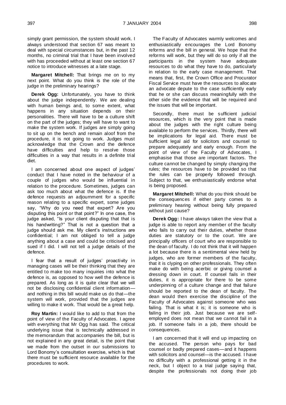simply grant permission, the system should work. I always understood that section 67 was meant to deal with special circumstances but, in the past 12 months, no criminal trial that I have been involved with has proceeded without at least one section 67 notice to introduce witnesses at a late stage.

**Margaret Mitchell:** That brings me on to my next point. What do you think is the role of the judge in the preliminary hearings?

**Derek Ogg:** Unfortunately, you have to think about the judge independently. We are dealing with human beings and, to some extent, what happens in any situation depends on their personalities. There will have to be a culture shift on the part of the judges; they will have to want to make the system work. If judges are simply going to sit up on the bench and remain aloof from the procedure, it is not going to work. Judges must acknowledge that the Crown and the defence have difficulties and help to resolve those difficulties in a way that results in a definite trial diet.

I am concerned about one aspect of judges' conduct that I have noted in the behaviour of a couple of judges who would be influential in relation to the procedure. Sometimes, judges can ask too much about what the defence is. If the defence requests an adjournment for a specific reason relating to a specific expert, some judges say, "Why do you need that expert? Are you disputing this point or that point?" In one case, the judge asked, "Is your client disputing that that is his handwriting?" That is not a question that a judge should ask me. My client's instructions are confidential; I am not obliged to tell a judge anything about a case and could be criticised and sued if I did. I will not tell a judge details of the defence.

I fear that a result of judges' proactivity in managing cases will be their thinking that they are entitled to make too many inquiries into what the defence is, as opposed to how well the defence is prepared. As long as it is quite clear that we will not be disclosing confidential client information and nothing in this bill would make us do that—the system will work, provided that the judges are willing to make it work. That would be a great help.

**Roy Martin:** I would like to add to that from the point of view of the Faculty of Advocates. I agree with everything that Mr Ogg has said. The critical underlying issue that is technically addressed in the memorandum that accompanies the bill, but is not explained in any great detail, is the point that we made from the outset in our submissions to Lord Bonomy's consultation exercise, which is that there must be sufficient resource available for the procedures to work.

The Faculty of Advocates warmly welcomes and enthusiastically encourages the Lord Bonomy reforms and the bill in general. We hope that the reforms will work, but they will do so only if all the participants in the system have adequate resources to do what they have to do, particularly in relation to the early case management. That means that, first, the Crown Office and Procurator Fiscal Service must have the resources to allocate an advocate depute to the case sufficiently early that he or she can discuss meaningfully with the other side the evidence that will be required and the issues that will be important.

Secondly, there must be sufficient judicial resources, which is the very point that is made about the judges with the right culture being available to perform the services. Thirdly, there will be implications for legal aid. There must be sufficient legal aid for solicitors and counsel to prepare adequately and early enough. From the point of view of the Faculty of Advocates, I emphasise that those are important factors. The culture cannot be changed by simply changing the rules; the resources have to be provided so that the rules can be properly followed through. Subject to that, we enthusiastically endorse what is being proposed.

**Margaret Mitchell:** What do you think should be the consequences if either party comes to a preliminary hearing without being fully prepared without just cause?

**Derek Ogg:** I have always taken the view that a judge is able to report any member of the faculty who fails to carry out their duties, whether those duties are statutory or to the court. We are principally officers of court who are responsible to the dean of faculty. I do not think that it will happen a lot because there is a sentimental view held by judges, who are former members of the faculty, that it is clyping on other professionals. They often make do with being acerbic or giving counsel a dressing down in court. If counsel fails in their duties, it is appropriate for there to be some underpinning of a culture change and that failure should be reported to the dean of faculty. The dean would then exercise the discipline of the Faculty of Advocates against someone who was failing. That is what it is; it is someone who is failing in their job. Just because we are selfemployed does not mean that we cannot fail in a job. If someone fails in a job, there should be consequences.

I am concerned that it will end up impacting on the accused. The person who pays for bad counsel or badly prepared cases—and it happens with solicitors and counsel—is the accused. I have no difficulty with a professional getting it in the neck, but I object to a trial judge saying that, despite the professionals not doing their job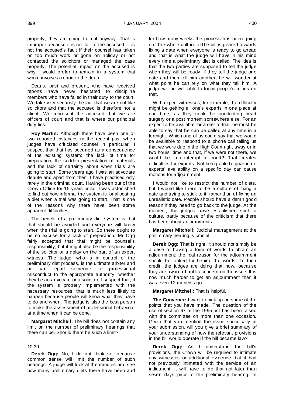properly, they are going to trial anyway. That is improper because it is not fair to the accused. It is not the accused's fault if their counsel has taken on too much work or gone on holiday or not contacted the solicitors or managed the case properly. The potential impact on the accused is why I would prefer to remain in a system that would involve a report to the dean.

Deans, past and present, who have received reports have never hesitated to discipline members who have failed in their duty to the court. We take very seriously the fact that we are not like solicitors and that the accused is therefore not a client. We represent the accused, but we are officers of court and that is where our principal duty lies.

**Roy Martin:** Although there have been one or two reported instances in the recent past when judges have criticised counsel in particular, I suspect that that has occurred as a consequence of the existing system: the lack of time for preparation, the sudden presentation of materials and the lack of certainty about when trials are going to start. Some years ago I was an advocate depute and apart from then, I have practised only rarely in the criminal court. Having been out of the Crown Office for 15 years or so, I was astonished to find out how informal the system is for allocating a diet when a trial was going to start. That is one of the reasons why there have been some apparent difficulties.

The benefit of a preliminary diet system is that that should be avoided and everyone will know when the trial is going to start. So there ought to be no excuse for a lack of preparation. Mr Ogg fairly accepted that that might be counsel's responsibility, but it might also be the responsibility of the solicitor or a delay on the part of an expert witness. The judge, who is in control of the preliminary diet process, is the ultimate arbiter and he can report someone for professional misconduct to the appropriate authority, whether they be an advocate or a solicitor. I suspect that, if the system is properly implemented with the necessary resources, that is much less likely to happen because people will know what they have to do and when. The judge is also the best person to make the assessment of professional behaviour at a time when it can be done.

**Margaret Mitchell:** The bill does not contain any limit on the number of preliminary hearings that there can be. Should there be such a limit?

#### 10:30

**Derek Ogg:** No, I do not think so, because common sense will limit the number of such hearings. A judge will look at the minutes and see how many preliminary diets there have been and for how many weeks the process has been going on. The whole culture of the bill is geared towards fixing a date when everyone is ready to go ahead and that is what the judge will have in his mind every time a preliminary diet is called. The idea is that the two parties are supposed to tell the judge when they will be ready. If they tell the judge one date and then tell him another, he will wonder at what point he can rely on what they tell him. A judge will be well able to focus people's minds on that.

With expert witnesses, for example, the difficulty might be getting all one's experts in one place at one time, as they could be conducting heart surgery or a post mortem somewhere else. For an expert to be available for a diet of trial, he must be able to say that he can be called at any time in a fortnight. Which one of us could say that we would be available to respond to a phone call telling us that we were due in the High Court right away or in two hours' time and that, if we were not there, we would be in contempt of court? That creates difficulties for experts. Not being able to guarantee experts' availability on a specific day can cause motions for adjournment.

I would not like to restrict the number of diets, but I would like there to be a culture of fixing a date and trying to stick to it, rather than of fixing an unrealistic date. People should have a damn good reason if they need to go back to the judge. At the moment, the judges have established such a culture, partly because of the criticism that there has been about adjournments.

**Margaret Mitchell:** Judicial management at the preliminary hearing is crucial.

**Derek Ogg:** That is right. It should not simply be a case of having a form of words to obtain an adjournment; the real reason for the adjournment should be looked for behind the words. To their credit, the judges are doing that now, because they are aware of public concern on the issue. It is now much harder to get an adjournment than it was even 12 months ago.

**Margaret Mitchell:** That is helpful.

**The Convener:** I want to pick up on some of the points that you have made. The question of the use of section 67 of the 1995 act has been raised with the committee on more than one occasion. Given that you mention the issue specifically in your submission, will you give a brief summary of your understanding of how the relevant provisions in the bill would operate if the bill became law?

**Derek Ogg:** As I understand the bill's provisions, the Crown will be required to intimate any witnesses or additional evidence that it had not previously intimated with the service of an indictment. It will have to do that not later than seven days prior to the preliminary hearing. In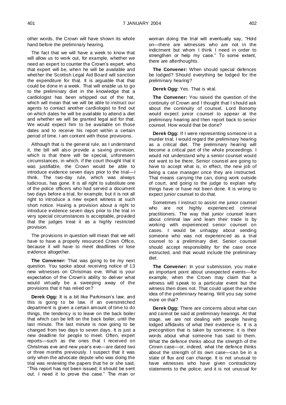other words, the Crown will have shown its whole hand before the preliminary hearing.

The fact that we will have a week to know that will allow us to work out, for example, whether we need an expert to counter the Crown's expert, who that expert will be, when he will be available and whether the Scottish Legal Aid Board will sanction the expenditure for that. It is arguable that that could be done in a week. That will enable us to go to the preliminary diet in the knowledge that a cardiologist has been whipped out of the hat, which will mean that we will be able to instruct our agents to contact another cardiologist to find out on which dates he will be available to attend a diet and whether we will be granted legal aid for that. We would expect him to be available on those dates and to receive his report within a certain period of time. I am content with those provisions.

Although that is the general rule, as I understand it, the bill will also provide a saving provision, which is that there will be special, unforeseen circumstances, in which, if the court thought that it was justifiable, the Crown would be able to introduce evidence seven days prior to the trial—I think. The two-day rule, which was always ludicrous, has gone. It is all right to substitute one of the police officers who had served a document two days before a trial, for example, but it is not all right to introduce a new expert witness at such short notice. Having a provision about a right to introduce evidence seven days prior to the trial in very special circumstances is acceptable, provided that the judges treat it as a highly restricted provision.

The provisions in question will mean that we will have to have a properly resourced Crown Office, because it will have to meet deadlines or lose evidence altogether.

**The Convener:** That was going to be my next question. You spoke about receiving notice of 13 new witnesses on Christmas eve. What is your expectation of the Crown's ability to deliver what would virtually be a sweeping away of the provisions that it has relied on?

**Derek Ogg:** It is a bit like Parkinson's law; and this is going to be law. If an overstretched department is given a certain amount of time to do things, the tendency is to leave on the back boiler that which can be left on the back boiler, until the last minute. The last minute is now going to be changed from two days to seven days. It is just a new deadline for people to meet. Often, expert reports—such as the ones that I received on Christmas eve and new year's eve—are dated two or three months previously. I suspect that it was only when the advocate depute who was doing the trial was reviewing the papers that he or she said, "This report has not been issued; it should be sent out. I need it to prove the case." The man or

woman doing the trial will eventually say, "Hold on—there are witnesses who are not in the indictment but whom I think I need in order to strengthen or help my case." To some extent, there are afterthoughts.

**The Convener:** When should special defences be lodged? Should everything be lodged for the preliminary hearing?

**Derek Ogg:** Yes. That is vital.

**The Convener:** You raised the question of the continuity of Crown and I thought that I should ask about the continuity of counsel. Lord Bonomy would expect junior counsel to appear at the preliminary hearing and then report back to senior counsel. How would that be done?

**Derek Ogg:** If I were representing someone in a murder trial, I would regard the preliminary hearing as a critical diet. The preliminary hearing will become a critical part of the whole proceedings. I would not understand why a senior counsel would not want to be there. Senior counsel are going to have to accept what is, in effect, the new job of being a case manager once they are instructed. That means carrying the can, doing work outside of court, and going to the judge to explain why things have or have not been done. It is wrong to expect junior counsel to do that.

Sometimes I instruct to assist me junior counsel<br>ho are not highly experienced criminal who are not highly experienced criminal practitioners. The way that junior counsel learn about criminal law and learn their trade is by working with experienced senior counsel on cases. I would be unhappy about sending someone who was not experienced as a trial counsel to a preliminary diet. Senior counsel should accept responsibility for the case once instructed, and that would include the preliminary diet.

**The Convener:** In your submission, you make an important point about unexpected events—for example, when the Crown may claim that a witness will speak to a particular event but the witness then does not. That could upset the whole idea of the preliminary hearing. Will you say some more on that?

**Derek Ogg:** There are concerns about what can and cannot be said at preliminary hearings. At that stage, we are not dealing with people having lodged affidavits of what their evidence is. It is a precognition that is taken by someone; it is their words about what someone has said to them. What the defence thinks about the strength of the Crown case—or, indeed, what the defence thinks about the strength of its own case—can be in a state of flux and can change. It is not unusual to have witnesses who have given contradictory statements to the police; and it is not unusual for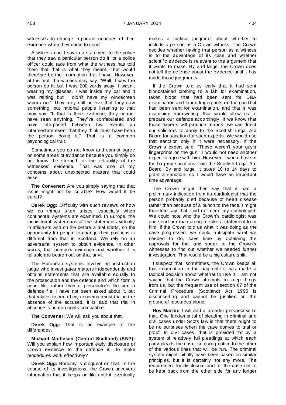witnesses to change important nuances of their evidence when they come to court.

A witness could say in a statement to the police that they saw a particular person do it; or a police officer could take from what the witness has told them that that is what they meant. That would therefore be the information that I have. However, at the trial, the witness may say, "Well, I saw the person do it; but I was 200 yards away, I wasn't wearing my glasses, I was inside my car and it was raining but I didn't have my windscreen wipers on." They may still believe that they saw something, but rational people listening to that may say, "If that is their evidence, they cannot have seen anything. They've confabulated and have interposed between two events an intermediate event that they think must have been the person doing it." That is a common psychological trait.

Sometimes you do not know and cannot agree on some areas of evidence because you simply do not know the strength or the reliability of the witnesses' evidence. That was one of my concerns about unexpected matters that could arise.

**The Convener:** Are you simply saying that that issue might not be curable? How would it be cured?

**Derek Ogg:** Difficulty with such reviews of how we do things often arises, especially when continental systems are examined. In Europe, the inquisitorial system has all the statements virtually in affidavits and on file before a trial starts, so the opportunity for people to change their positions is different from that in Scotland. We rely on an adversarial system to obtain evidence. In other words, that person's evidence and whether it is reliable are beaten out on that anvil.

The European systems involve an instruction judge who investigates matters independently and obtains statements that are available equally to the prosecution and the defence and which form a court file, rather than a prosecutor's file and a defence file. I have not been asked about it, but that relates to one of my concerns about trial in the absence of the accused. It is said that trial in absence is human rights compatible.

**The Convener:** We will ask you about that.

**Derek Ogg:** That is an example of the differences.

**Michael Matheson (Central Scotland) (SNP):**  Will you explain how important early disclosure of Crown evidence to the defence is, to make procedures work effectively?

**Derek Ogg:** Bonomy is eloquent on that. In the course of its investigations, the Crown uncovers information that it keeps on file until it eventually makes a tactical judgment about whether to include a person as a Crown witness. The Crown decides whether having that person as a witness is to the advantage of its case and whether scientific evidence is relevant to the argument that it wants to make. By and large, the Crown does not tell the defence about the evidence until it has made those judgments.

If the Crown told us early that it had sent bloodstained clothing to a lab for examination, taken blood that had been sent for DNA examination and found fingerprints on the gun that had been sent for examination, and that it was examining handwriting, that would allow us to prepare our defence accordingly. If we know that those experts will produce reports, we can direct our solicitors to apply to the Scottish Legal Aid Board for sanction for such experts. We would use that sanction only if it were necessary. If the Crown's expert said, "Those weren't your guy's fingerprints on the gun," I would not need another expert to agree with him. However, I would have in the bag my sanctions from the Scottish Legal Aid Board. By and large, it takes 10 to 14 days to grant a sanction, so I would have an important time advantage.

The Crown might then say that it had a preliminary indication from its cardiologist that the person probably died because of heart disease rather than because of a punch to the face. I might therefore say that I did not need my cardiologist. We could note who the Crown's cardiologist was and send our man along to take a statement from him. If the Crown told us what it was doing as the case progressed, we could anticipate what we needed to do, save time by obtaining the approvals for that and speak to the Crown's witnesses to find out whether we needed further investigation. That would be a big culture shift.

I suspect that, sometimes, the Crown keeps all that information in the bag until it has made a tactical decision about whether to use it. I am not saying that the Crown attempts to keep things from us, but the frequent use of section 67 of the Criminal Procedure (Scotland) Act 1995 is disconcerting and cannot be justified on the ground of resources alone.

**Roy Martin:** I will add a broader perspective to that. One fundamental of pleading in criminal and civil cases under Scots law is that there ought to be no surprises when the case comes to trial or proof. In civil cases, that is provided for by a system of relatively full pleadings at which each party pleads the case, so giving notice to the other of the various lines that will be run. The criminal system might initially have been based on similar principles, but it is certainly not any more. The requirement for disclosure and for the case not to be kept back from the other side for any longer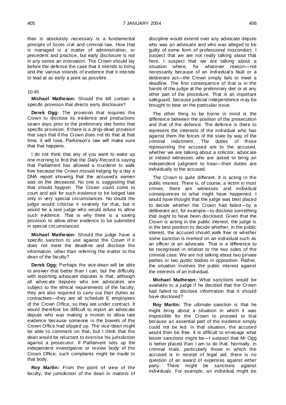than is absolutely necessary is a fundamental principle of Scots civil and criminal law. How that is managed is a matter of administration, or precedent and practice, but early disclosure is not in any sense an innovation. The Crown should lay before the defence the case that it intends to bring and the various strands of evidence that it intends to lead at as early a point as possible.

## 10:45

**Michael Matheson:** Should the bill contain a specific provision that directs early disclosure?

**Derek Ogg:** The provision that requires the Crown to disclose its evidence and productions seven days prior to the preliminary diet forms that specific provision. If there is a drop-dead provision that says that if the Crown does not do that at that time, it will lose, Parkinson's law will make sure that that happens.

I do not think that any of you want to wake up one morning to find that the *Daily Record* is saying that Parliament has allowed a murderer to walk free because the Crown missed lodging by a day a DNA report showing that the accused's semen was on the deceased. No one is suggesting that that should happen. The Crown could come to court and ask for such evidence to be lodged late only in very special circumstances. No doubt the judge would criticise it severely for that, but it would be a rare judge who would refuse to allow such evidence. That is why there is a saving provision to allow other evidence to be submitted in special circumstances.

**Michael Matheson:** Should the judge have a specific sanction to use against the Crown if it does not meet the deadline and disclose the information, other than referring the matter to the dean of the faculty?

**Derek Ogg:** Perhaps the vice-dean will be able to answer that better than I can, but the difficulty with reporting advocate deputes is that, although all advocate deputes who are advocates are subject to the ethical requirements of the faculty, they are also required to carry out their duties as contractees—they are all schedule E employees of the Crown Office, so they are under contract. It would therefore be difficult to report an advocate depute who was making a motion to allow late evidence because someone in the bowels of the Crown Office had slipped up. The vice-dean might be able to comment on that, but I think that the dean would be reluctant to exercise his jurisdiction against a prosecutor. If Parliament sets up the independent investigative or review body of the Crown Office, such complaints might be made to that body.

**Roy Martin:** From the point of view of the faculty, the jurisdiction of the dean in matters of discipline would extend over any advocate depute who was an advocate and who was alleged to be guilty of some form of professional misconduct. I suspect that we are not really talking about that here. I suspect that we are talking about a situation where, for whatever reason—not necessarily because of an individual's fault or a deliberate act—the Crown simply fails to meet a deadline. The first consequence of that is in the hands of the judge at the preliminary diet or at any other part of the procedure. That is an important safeguard, because judicial independence may be brought to bear on the particular issue.

The other thing to be borne in mind is the difference between the position of the prosecution and that of the defence. The defence is there to represent the interests of the individual who has against them the forces of the state by way of the criminal indictment. The duties of those representing the accused are to the accused, whether we are talking about a solicitor, advocate or indeed witnesses who are asked to bring an independent judgment to bear—their duties are individually to the accused.

The Crown is quite different. It is acting in the public interest. There is, of course, a victim in most crimes; there are witnesses and individual consequences to what might have happened. I would have thought that the judge was best placed to decide whether the Crown had failed—by a deliberate act, for example—to disclose something that ought to have been disclosed. Given that the Crown is acting in the public interest, the judge is in the best position to decide whether, in the public interest, the accused should walk free or whether some sanction is merited on an individual such as an officer or an advocate. That is a difference to be recognised in relation to the two sides of the criminal case. We are not talking about two private parties or two public bodies in opposition. Rather, the situation involves the public interest against the interests of an individual.

**Michael Matheson:** What sanctions would be available to a judge if he decided that the Crown had failed to disclose information that it should have disclosed?

**Roy Martin:** The ultimate sanction is that he might bring about a situation in which it was impossible for the Crown to proceed to trial because an essential part of the evidence simply could not be led. In that situation, the accused would then be free. It is difficult to envisage what lesser sanctions might be—I suspect that Mr Ogg is better placed than I am to do that. Normally, in criminal trials, particularly those in which the accused is in receipt of legal aid, there is no question of an award of expenses against either party. There might be sanctions against individuals. For example, an individual might be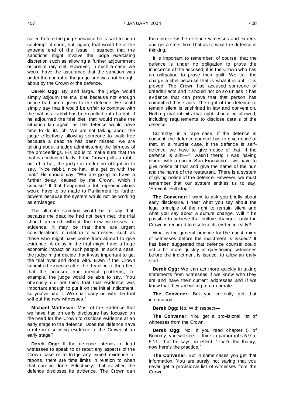called before the judge because he is said to be in contempt of court, but, again, that would be at the extreme end of the issue. I suspect that the sanctions might involve the judge exercising discretion such as allowing a further adjournment or preliminary diet. However, in such a case, we would have the assurance that the sanction was under the control of the judge and was not brought about by the Crown or the defence.

**Derek Ogg:** By and large, the judge would simply adjourn the trial diet because not enough notice had been given to the defence. He could simply say that it would be unfair to continue with the trial as a rabbit has been pulled out of a hat. If he adjourned the trial diet, that would make the situation fair again, as the defence would have time to do its job. We are not talking about the judge effectively allowing someone to walk free because a deadline has been missed; we are talking about a judge administering the fairness of the proceedings. His job is to make sure that the trial is conducted fairly. If the Crown pulls a rabbit out of a hat, the judge is under no obligation to say, "Nice rabbit, nice hat, let's get on with the trial." He should say, "We are going to have a further delay, caused by the Crown, which I criticise." If that happened a lot, representations would have to be made to Parliament for further powers because the system would not be working as envisaged.

The ultimate sanction would be to say that, because the deadline had not been met, the trial should proceed without the new witnesses or evidence. It may be that there are urgent considerations in relation to witnesses, such as those who might have come from abroad to give evidence. A delay in the trial might have a huge economic impact on such people. In such a case, the judge might decide that it was important to get the trial over and done with. Even if the Crown submitted evidence after the deadline to the effect that the accused had mental problems, for example, the judge would be able to say, "You obviously did not think that that evidence was important enough to put it on the initial indictment, so you've had it. We shall carry on with the trial without the new witnesses."

**Michael Matheson:** Most of the evidence that we have had on early disclosure has focused on the need for the Crown to disclose evidence at an early stage to the defence. Does the defence have a role in disclosing evidence to the Crown at an early stage?

**Derek Ogg:** If the defence intends to lead witnesses to speak to or rebut any aspects of the Crown case or to lodge any expert evidence or reports, there are time limits in relation to when that can be done. Effectively, that is when the defence discloses its evidence. The Crown can

then interview the defence witnesses and experts and get a steer from that as to what the defence is thinking.

It is important to remember, of course, that the defence is under no obligation to prove the innocence of the accused; it is the Crown who has an obligation to prove their guilt. We call the charge a libel because that is what it is until it is proved. The Crown has accused someone of dreadful acts and it should not do so unless it has evidence that can prove that that person has committed those acts. The right of the defence to remain silent is enshrined in law and convention. Nothing that inhibits that right should be allowed, including requirements to disclose details of the defence.

Currently, in a rape case, if the defence is consent, the defence counsel has to give notice of that. In a murder case, if the defence is selfdefence, we have to give notice of that. If the defence is alibi—"I wasn't there; I was having dinner with a nun in San Fransisco"—we have to give notice of that and give the name of the nun and the name of the restaurant. There is a system of giving notice of the defence. However, we must remember that our system entitles us to say, "Prove it. Full stop."

**The Convener:** I want to ask you briefly about early disclosure. I hear what you say about the legal principle of the right to remain silent and what you say about a culture change. Will it be possible to achieve that culture change if only the Crown is required to disclose its evidence early?

What is the general practice for the questioning of witnesses before the indictment is issued? It has been suggested that defence counsel could act a bit more quickly in questioning witnesses before the indictment is issued, to allow an early start.

**Derek Ogg:** We can act more quickly in taking statements from witnesses if we know who they are and have their current addresses and if we know that they are willing to co-operate.

**The Convener:** But you currently get that information.

**Derek Ogg:** No. With respect—

**The Convener:** You get a provisional list of witnesses from the Crown.

**Derek Ogg:** No. If you read chapter 5 of Bonomy, you will see—I think in paragraphs 5.9 to 5.11—that he says, in effect, "That's the theory; now here's the practice."

**The Convener:** But in some cases you get that information. You are surely not saying that you never get a provisional list of witnesses from the Crown.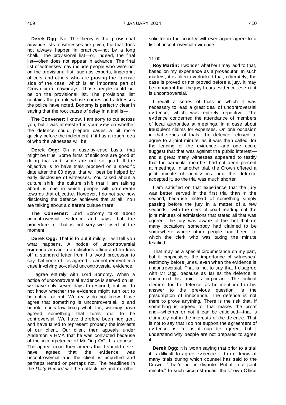**Derek Ogg:** No. The theory is that provisional advance lists of witnesses are given, but that does not always happen in practice—not by a long chalk. The provisional list—or, indeed, the final list—often does not appear in advance. The final list of witnesses may include people who were not on the provisional list, such as experts, fingerprint officers and others who are proving the forensic side of the case, which is an important part of Crown proof nowadays. Those people could not be on the provisional list. The provisional list contains the people whose names and addresses the police have noted. Bonomy is perfectly clear in saying that the root cause of delay in a trial is—

**The Convener:** I know. I am sorry to cut across you, but I was interested in your view on whether the defence could prepare cases a bit more quickly before the indictment, if it has a rough idea of who the witnesses will be.

**Derek Ogg:** On a case-by-case basis, that might be true. Some firms of solicitors are good at doing that and some are not so good. If the objective is to have trials proceed on a specific date after the 80 days, that will best be helped by early disclosure of witnesses. You talked about a culture shift; the culture shift that I am talking about is one in which people will co-operate towards that objective. However, I do not see how disclosing the defence achieves that at all. You are talking about a different culture there.

**The Convener:** Lord Bonomy talks about uncontroversial evidence and says that the procedure for that is not very well used at the moment.

**Derek Ogg:** That is to put it mildly. I will tell you what happens. A notice of uncontroversial evidence arrives in a solicitor's office and he fires off a standard letter from his word processor to say that none of it is agreed. I cannot remember a case involving so-called uncontroversial evidence.

I agree entirely with Lord Bonomy. When a notice of uncontroversial evidence is served on us, we have only seven days to respond, but we do not know whether the evidence might turn out to be critical or not. We really do not know. If we agree that something is uncontroversial, lo and behold, sod's law being what it is, we may have agreed something that turns out to be controversial. We have therefore been negligent and have failed to represent properly the interests of our client. Our client then appeals under Anderson v HMA that he was convicted because of the incompetence of Mr Ogg QC, his counsel. The appeal court then agrees that I should never have agreed that the evidence uncontroversial and the client is acquitted and perhaps retried or perhaps not. The headlines in the *Daily Record* will then attack me and no other

solicitor in the country will ever again agree to a list of uncontroversial evidence.

# 11:00

**Roy Martin:** I wonder whether I may add to that, based on my experience as a prosecutor. In such matters, it is often overlooked that, ultimately, the case is proved or not proved before a jury. It may be important that the jury hears evidence, even if it is uncontroversial.

I recall a series of trials in which it was necessary to lead a great deal of uncontroversial evidence, which was entirely repetitive. The evidence concerned the attendance of members of local authorities at meetings, in a case about fraudulent claims for expenses. On one occasion in that series of trials, the defence refused to agree to a joint minute, as it was then called, for the leading of the evidence—and one could suggest that that was against the public interest and a great many witnesses appeared to testify that the particular member had not been present at meetings. In another trial, the Crown offered a joint minute of admissions and the defence accepted it, so the trial was much shorter.

I am satisfied on that experience that the jury was better served in the first trial than in the second, because instead of something simply passing before the jury in a matter of a few seconds—with the clerk of court reading out the joint minutes of admissions that stated all that was agreed—the jury was aware of the fact that on many occasions somebody had claimed to be somewhere where other people had been, to which the clerk who was taking the minute testified.

That may be a special circumstance on my part, but it emphasises the importance of witnesses' testimony before juries, even when the evidence is uncontroversial. That is not to say that I disagree with Mr Ogg, because as far as the defence is concerned his point is important. The critical element for the defence, as he mentioned in his answer to the previous question, is the presumption of innocence. The defence is not there to prove anything. There is the risk that, if something is agreed to, that makes the proof and—whether or not it can be criticised—that is ultimately not in the interests of the defence. That is not to say that I do not support the agreement of evidence as far as it can be agreed, but I understand why people are not prepared to agree it.

**Derek Ogg:** It is worth saying that prior to a trial it is difficult to agree evidence. I do not know of many trials during which counsel has said to the Crown, "That's not in dispute. Put it in a joint minute." In such circumstances, the Crown Office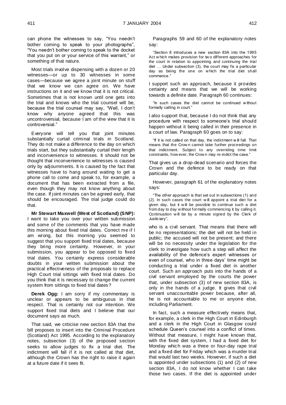can phone the witnesses to say, "You needn't bother coming to speak to your photographs", "You needn't bother coming to speak to the docket that you put on or your service of this warrant," or something of that nature.

Most trials involve dispensing with a dozen or 20 witnesses—or up to 30 witnesses in some cases—because we agree a joint minute on stuff that we know we can agree on. We have instructions on it and we know that it is not critical. Sometimes that is not known until one gets into the trial and knows who the trial counsel will be, because the trial counsel may say, "Well, I don't know why anyone agreed that this was uncontroversial, because I am of the view that it is controversial."

Everyone will tell you that joint minutes substantially curtail criminal trials in Scotland. They do not make a difference to the day on which trials start, but they substantially curtail their length and inconvenience to witnesses. It should not be thought that inconvenience to witnesses is caused only by adjournments. It is caused by the fact that witnesses have to hang around waiting to get a phone call to come and speak to, for example, a document that has been extracted from a file, even though they may not know anything about the case. If joint minutes can be agreed early, that should be encouraged. The trial judge could do that.

**Mr Stewart Maxwell (West of Scotland) (SNP):** I want to take you over your written submission and some of the comments that you have made this morning about fixed trial dates. Correct me if I am wrong, but this morning you seemed to suggest that you support fixed trial dates, because they bring more certainty. However, in your submission, you appear to be opposed to fixed trial dates. You certainly express considerable doubts in your written submission about the practical effectiveness of the proposals to replace High Court trial sittings with fixed trial dates. Do you think that it is necessary to change the current system from sittings to fixed trial dates?

**Derek Ogg:** I am sorry if my commentary is unclear or appears to be ambiguous in that respect. That is certainly not our intention. We support fixed trial diets and I believe that our document says as much.

That said, we criticise new section 83A that the bill proposes to insert into the Criminal Procedure (Scotland) Act 1995. According to the explanatory notes, subsection (3) of the proposed section seeks to allow judges to fix a trial diet. The indictment will fall if it is not called at that diet, although the Crown has the right to raise it again at a future date if it sees fit.

Paragraphs 59 and 60 of the explanatory notes say:

"Section 8 introduces a new section 83A into the 1995 Act w hich makes provision for tw o different approaches for the court in relation to appointing and continuing the trial diet … Under subsection (3), the court may fix a particular day as being the one on w hich the trial diet shall commence."

I support such an approach, because it provides certainty and means that we will be working towards a definite date. Paragraph 60 continues:

"In such cases the diet cannot be continued w ithout formally calling in court."

I also support that, because I do not think that any procedure with respect to someone's trial should happen without it being called in their presence in a court of law. Paragraph 60 goes on to say:

"If it is not called on that day, the indictment w ill fall. That means that the Crow n cannot take further proceedings on that indictment. Subject to any overriding time limit constraints, how ever, the Crow n may re-indict the case."

That gives us a drop-dead scenario and forces the Crown and the defence to be ready on that particular day.

However, paragraph 61 of the explanatory notes says:

"The other approach is that set out in subsections (1) and (2). In such cases the court w ill appoint a trial diet for a given day, but it w ill be possible to continue such a diet from day to day w ithout formally commencing it by calling it. Continuation w ill be by a minute signed by the Clerk of Justiciary",

who is a civil servant. That means that there will be no representations; the diet will not be held in public; the accused will not be present; and there will be no necessity under the legislation for the clerk to investigate how such a step will affect the availability of the defence's expert witnesses or even of counsel, who in three days' time might be conducting a trial under a fixed diet in another court. Such an approach puts into the hands of a civil servant employed by the courts the power that, under subsection (3) of new section 83A, is only in the hands of a judge. It gives that civil servant unaccountable power because, after all, he is not accountable to me or anyone else, including Parliament.

In fact, such a measure effectively means that, for example, a clerk in the High Court in Edinburgh and a clerk in the High Court in Glasgow could schedule Queen's counsel into a conflict of times. Without that measure, I might have known that, with the fixed diet system, I had a fixed diet for Monday which was a three or four-day rape trial and a fixed diet for Friday which was a murder trial that would last two weeks. However, if such a diet is appointed under subsections (1) and (2) of new section 83A, I do not know whether I can take those two cases. If the diet is appointed under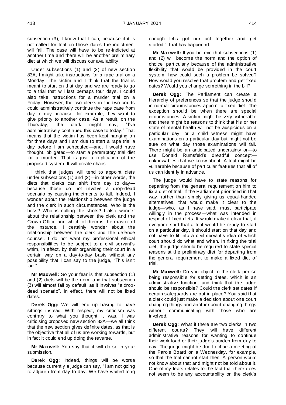subsection (3), I know that I can, because if it is not called for trial on those dates the indictment will fall. The case will have to be re-indicted at another time and there will be another preliminary diet at which we will discuss our availability.

Under subsections (1) and (2) of new section 83A, I might take instructions for a rape trial on a Monday. The victim and I think that the trial is meant to start on that day and we are ready to go to a trial that will last perhaps four days. I could also take instructions for a murder trial on a Friday. However, the two clerks in the two courts could administratively continue the rape case from day to day because, for example, they want to give priority to another case. As a result, on the Thursday. the clerk might say. "I've Thursday, the clerk might say, administratively continued this case to today." That means that the victim has been kept hanging on for three days and I am due to start a rape trial a day before I am scheduled—and, I would have thought, obligated—to start a peremptory trial diet for a murder. That is just a replication of the proposed system. It will create chaos.

I think that judges will tend to appoint diets under subsections (1) and (2)—in other words, the diets that clerks can shift from day to day because those do not involve a drop-dead scenario by causing indictments to fall. Indeed, I wonder about the relationship between the judge and the clerk in such circumstances. Who is the boss? Who is calling the shots? I also wonder about the relationship between the clerk and the Crown Office and which of them is the master of the instance. I certainly wonder about the relationship between the clerk and the defence counsel. I do not want my professional ethical responsibilities to be subject to a civil servant's whim, in effect, by their organising their court in a certain way on a day-to-day basis without any possibility that I can say to the judge, "This isn't fair."

**Mr Maxwell:** So your fear is that subsection (1) and (2) diets will be the norm and that subsection (3) will almost fall by default, as it involves "a dropdead scenario". In effect, there will not be fixed dates.

**Derek Ogg:** We will end up having to have sittings instead. With respect, my criticism was contrary to what you thought it was. I was criticising proposed new section 83A—we all think that the new section gives definite dates, as that is the objective that all of us are working towards, but in fact it could end up doing the reverse.

**Mr Maxwell:** You say that it will do so in your submission.

**Derek Ogg:** Indeed, things will be worse because currently a judge can say, "I am not going to adjourn from day to day. We have waited long enough—let's get our act together and get started." That has happened.

**Mr Maxwell:** If you believe that subsections (1) and (2) will become the norm and the option of choice, particularly because of the administrative flexibility that would be provided in the court system, how could such a problem be solved? How would you resolve that problem and get fixed dates? Would you change something in the bill?

**Derek Ogg:** The Parliament can create a hierarchy of preferences so that the judge should in normal circumstances appoint a fixed diet. The exception should be when there are special circumstances. A victim might be very vulnerable and there might be reasons to think that his or her state of mental health will not be auspicious on a particular day, or a child witness might have examinations on a particular day but might not be sure on what day those examinations will fall. There might be an anticipated uncertainty or—to use Donald Rumsfeld's dreadful concept unknowables that we know about. A trial might be vulnerable because of particular features that all of us can identify in advance.

The judge would have to state reasons for departing from the general requirement on him to fix a diet of trial. If the Parliament prioritised in that way, rather than simply giving us equal-handed alternatives, that would make it clear to the judge—who, as I have said, must participate willingly in the process—what was intended in respect of fixed diets. It would make it clear that, if everyone said that a trial would be ready to start on a particular day, it should start on that day and not have to fit into a civil servant's idea of which court should do what and when. In fixing the trial diet, the judge should be required to state special reasons at the preliminary diet for departing from the general requirement to make a fixed diet of trial.

**Mr Maxwell:** Do you object to the clerk per se being responsible for setting dates, which is an administrative function, and think that the judge should be responsible? Could the clerk set dates if certain safeguards are put in place? You said that a clerk could just make a decision about one court changing things and another court changing things without communicating with those who are involved.

**Derek Ogg:** What if there are two clerks in two different courts? They will have different administrative reasons for wanting to continue their work load or their judge's burden from day to day. The judge might be due to chair a meeting of the Parole Board on a Wednesday, for example, so that the trial cannot start then. A person would not know about that and might not be told about it. One of my fears relates to the fact that there does not seem to be any accountability on the clerk's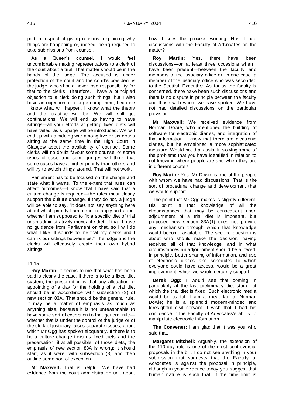part in respect of giving reasons, explaining why things are happening or, indeed, being required to take submissions from counsel.

As a Queen's counsel, I would feel uncomfortable making representations to a clerk of the court about a trial. That matter should be in the hands of the judge. The accused is under protection of the court and the court's president is the judge, who should never lose responsibility for that to the clerks. Therefore, I have a principled objection to a clerk doing such things, but I also have an objection to a judge doing them, because I know what will happen. I know what the theory and the practice will be. We will still get continuations. We will end up having to have sittings—all your efforts at getting fixed diets will have failed, as slippage will be introduced. We will end up with a bidding war among five or six courts sitting at the same time in the High Court in Glasgow about the availability of counsel. Some clerks will no doubt favour some counsel or some types of case and some judges will think that some cases have a higher priority than others and will try to switch things around. That will not work.

Parliament has to be focused on the change and state what it wants. To the extent that rules can affect outcomes—I know that I have said that a culture change is required—the rules must clearly support the culture change. If they do not, a judge will be able to say, "It does not say anything here about which priority I am meant to apply and about whether I am supposed to fix a specific diet of trial or an administratively moveable diet of trial. I have no guidance from Parliament on that, so I will do what I like. It sounds to me that my clerks and I can fix our sittings between us." The judge and the clerks will effectively create their own hybrid sittings.

#### 11:15

**Roy Martin:** It seems to me that what has been said is clearly the case. If there is to be a fixed diet system, the presumption is that any allocation or appointing of a day for the holding of a trial diet should be in accordance with subsection (3) of new section 83A. That should be the general rule. It may be a matter of emphasis as much as anything else, because it is not unreasonable to have some sort of exception to that general rule whether that is under the control of the judge or of the clerk of justiciary raises separate issues, about which Mr Ogg has spoken eloquently. If there is to be a culture change towards fixed diets and the preservation, if at all possible, of those diets, the emphasis of new section 83A is wrong: it should start, as it were, with subsection (3) and then outline some sort of exception.

**Mr Maxwell:** That is helpful. We have had evidence from the court administration unit about

how it sees the process working. Has it had discussions with the Faculty of Advocates on the matter?

**Roy Martin:** Yes, there have been discussions—on at least three occasions when I have been present—between the faculty and members of the justiciary office or, in one case, a member of the justiciary office who was seconded to the Scottish Executive. As far as the faculty is concerned, there have been such discussions and there is no dispute in principle between the faculty and those with whom we have spoken. We have not had detailed discussions on the particular provision.

**Mr Maxwell:** We received evidence from Norman Dowie, who mentioned the building of software for electronic diaries, and integration of that information. I know that there are electronic diaries, but he envisioned a more sophisticated measure. Would not that assist in solving some of the problems that you have identified in relation to not knowing where people are and when they are in different courts?

**Roy Martin:** Yes. Mr Dowie is one of the people with whom we have had discussions. That is the sort of procedural change and development that we would support.

The point that Mr Ogg makes is slightly different. His point is that knowledge of all the circumstances that may be consequent upon adjournment of a trial diet is important, but proposed new section 83A(1) does not provide any mechanism through which that knowledge would become available. The second question is about who should make the decision, having received all of that knowledge, and in what circumstances an adjournment should be allowed. In principle, better sharing of information, and use of electronic diaries and schedules to which everyone could have access, would be a great improvement, which we would certainly support.

**Derek Ogg:** I would see that coming in particularly at the last preliminary diet stage, at which the trial diet is fixed. Such electronic media would be useful. I am a great fan of Norman Dowie; he is a splendid modern-minded and foresightful civil servant. I wish that I had his confidence in the Faculty of Advocates's ability to manipulate electronic information.

**The Convener:** I am glad that it was you who said that.

**Margaret Mitchell:** Arguably, the extension of the 110-day rule is one of the most controversial proposals in the bill. I do not see anything in your submission that suggests that the Faculty of Advocates is against the proposal in principle, although in your evidence today you suggest that human nature is such that, if the time limit is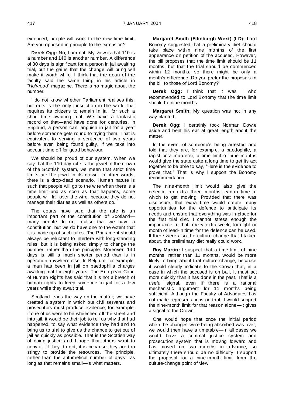extended, people will work to the new time limit. Are you opposed in principle to the extension?

**Derek Ogg:** No, I am not. My view is that 110 is a number and 140 is another number. A difference of 30 days is significant for a person in jail awaiting trial, but the gains that the change will bring will make it worth while. I think that the dean of the faculty said the same thing in his article in "*Holyrood*" magazine. There is no magic about the number.

I do not know whether Parliament realises this, but ours is the only jurisdiction in the world that requires its citizens to remain in jail for such a short time awaiting trial. We have a fantastic record on that—and have done for centuries. In England, a person can languish in jail for a year before someone gets round to trying them. That is equivalent to serving a sentence of two years before even being found guilty, if we take into account time off for good behaviour.

We should be proud of our system. When we say that the 110-day rule is the jewel in the crown of the Scottish system, we mean that strict time limits are the jewel in its crown. In other words, there is a drop-dead scenario. Human nature is such that people will go to the wire when there is a time limit and as soon as that happens, some people will fall over the wire, because they do not manage their diaries as well as others do.

The courts have said that the rule is an important part of the constitution of Scotland many people do not realise that we have a constitution, but we do have one to the extent that it is made up of such rules. The Parliament should always be reluctant to interfere with long-standing rules, but it is being asked simply to change the number, rather than the principle. Moreover, 140 days is still a much shorter period than is in operation anywhere else. In Belgium, for example, a man has been in jail on paedophilia charges awaiting trial for eight years. The European Court of Human Rights has said that it is not a breach of human rights to keep someone in jail for a few years while they await trial.

Scotland leads the way on the matter; we have created a system in which our civil servants and prosecutors must produce evidence; for example, if one of us were to be wheeched off the street and into jail, it would be their job to tell us why that had happened, to say what evidence they had and to bring us to trial to give us the chance to get out of jail as quickly as possible. That is the Scottish way of doing justice and I hope that others want to copy it—if they do not, it is because they are too stingy to provide the resources. The principle, rather than the arithmetical number of days—as long as that remains small—is what matters.

**Margaret Smith (Edinburgh West) (LD):** Lord Bonomy suggested that a preliminary diet should take place within nine months of the first appearance on petition of the accused. However, the bill proposes that the time limit should be 11 months, but that the trial should be commenced within 12 months, so there might be only a month's difference. Do you prefer the proposals in the bill to those of Lord Bonomy?

**Derek Ogg:** I think that it was I who recommended to Lord Bonomy that the time limit should be nine months.

**Margaret Smith:** My question was not in any way planted.

**Derek Ogg:** I certainly took Norman Dowie aside and bent his ear at great length about the matter

In the event of someone's being arrested and told that they are, for example, a paedophile, a rapist or a murderer, a time limit of nine months would give the state quite a long time to get its act together to be able to say, "Here is the evidence to prove that." That is why I support the Bonomy recommendation.

The nine-month limit would also give the defence an extra three months lead-in time in which to get moving. Provided that there was disclosure, that extra time would create many opportunities for the defence to anticipate its needs and ensure that everything was in place for the first trial diet. I cannot stress enough the importance of that: every extra week, fortnight or month of lead-in time for the defence can be used. If there were also the culture change that I talked about, the preliminary diet really could work.

**Roy Martin:** I suspect that a time limit of nine months, rather than 11 months, would be more likely to bring about that culture change, because it would clearly indicate to the Crown that, in a case in which the accused is on bail, it must act more quickly than it has done in the past. That is a useful signal, even if there is a rational mechanistic argument for 11 months being sufficient. Although the Faculty of Advocates has not made representations on that, I would support the nine-month limit for that reason alone—it gives a signal to the Crown.

One would hope that once the initial period when the changes were being absorbed was over, we would then have a timetable—in all cases we would have a criminal justice system and prosecution system that is moving forward and has moved on two months in advance, so ultimately there should be no difficulty. I support the proposal for a nine-month limit from the culture-change point of view.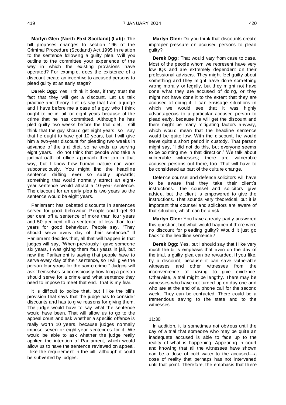**Marlyn Glen (North East Scotland) (Lab):** The bill proposes changes to section 196 of the Criminal Procedure (Scotland) Act 1995 in relation to the sentence following a guilty plea. Will you outline to the committee your experience of the way in which the existing provisions have operated? For example, does the existence of a discount create an incentive to accused persons to plead guilty at an early stage?

**Derek Ogg:** Yes, I think it does, if they trust the fact that they will get a discount. Let us talk practice and theory. Let us say that I am a judge and I have before me a case of a guy who I think ought to be in jail for eight years because of the crime that he has committed. Although he has pled guilty two weeks before the trial diet, I still think that the guy should get eight years, so I say that he ought to have got 10 years, but I will give him a two-year discount for pleading two weeks in advance of the trial diet, so he ends up serving eight years. I do not think that people who take a judicial oath of office approach their job in that way, but I know how human nature can work subconsciously. You might find the headline sentence drifting ever so subtly upwards; something that would normally attract an eightyear sentence would attract a 10-year sentence. The discount for an early plea is two years so the sentence would be eight years.

Parliament has debated discounts in sentences served for good behaviour. People could get 30 per cent off a sentence of more than four years and 50 per cent off a sentence of less than four years for good behaviour. People say, "They should serve every day of their sentence." If Parliament decides that, all that will happen is that judges will say, "When previously I gave someone six years, I was giving them four years in jail, but now the Parliament is saying that people have to serve every day of their sentence, so I will give the person four years for the same crime." Judges will ask themselves subconsciously how long a person should serve for a crime and what sentence they need to impose to meet that end. That is my fear.

It is difficult to police that, but I like the bill's provision that says that the judge has to consider discounts and has to give reasons for giving them. The judge would have to say what the sentence would have been. That will allow us to go to the appeal court and ask whether a specific offence is really worth 10 years, because judges normally impose seven or eight-year sentences for it. We would be able to ask whether the judge really applied the intention of Parliament, which would allow us to have the sentence reviewed on appeal. I like the requirement in the bill, although it could be subverted by judges.

**Marlyn Glen:** Do you think that discounts create improper pressure on accused persons to plead guilty?

**Derek Ogg:** That would vary from case to case. Most of the people whom we represent have very low IQs and are extremely dependent on their professional advisers. They might feel guilty about something and they might have done something wrong morally or legally, but they might not have done what they are accused of doing, or they might not have done it to the extent that they are accused of doing it. I can envisage situations in which we would see that it was highly advantageous to a particular accused person to plead early, because he will get the discount and there might be many mitigating factors anyway, which would mean that the headline sentence would be quite low. With the discount, he would serve quite a short period in custody. That person might say, "I did not do this, but everyone seems to be pointing me in that direction." We talk about vulnerable witnesses; there are vulnerable accused persons out there, too. That will have to be considered as part of the culture change.

Defence counsel and defence solicitors will have to be aware that they take their client's instructions. The counsel and solicitors give advice, but the client is empowered to give the instructions. That sounds very theoretical, but it is important that counsel and solicitors are aware of that situation, which can be a risk.

**Marlyn Glen:** You have already partly answered this question, but what would happen if there were no discount for pleading guilty? Would it just go back to the headline sentence?

**Derek Ogg:** Yes, but I should say that I like very much the bill's emphasis that even on the day of the trial, a guilty plea can be rewarded, if you like, by a discount, because it can save vulnerable witnesses and other witnesses from the inconvenience of having to give evidence. Otherwise, a trial might be lengthy. There may be witnesses who have not turned up on day one and who are at the end of a phone call for the second week. They can be contacted. There could be a tremendous saving to the state and to the witnesses.

#### 11:30

In addition, it is sometimes not obvious until the day of a trial that someone who may be quite an inadequate accused is able to face up to the reality of what is happening. Appearing in court and knowing that all the witnesses have shown can be a dose of cold water to the accused—a dose of reality that perhaps has not intervened until that point. Therefore, the emphasis that there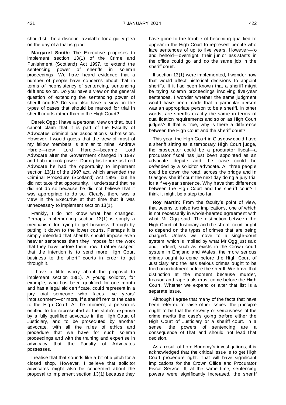should still be a discount available for a guilty plea on the day of a trial is good.

**Margaret Smith:** The Executive proposes to implement section 13(1) of the Crime and Punishment (Scotland) Act 1997, to extend the sentencing power of sheriffs in solemn proceedings. We have heard evidence that a number of people have concerns about that in terms of inconsistency of sentencing, sentencing drift and so on. Do you have a view on the general question of extending the sentencing power of sheriff courts? Do you also have a view on the types of cases that should be marked for trial in sheriff courts rather than in the High Court?

**Derek Ogg:** I have a personal view on that, but I cannot claim that it is part of the Faculty of Advocates criminal bar association's submission. However, I would guess that the view of most of my fellow members is similar to mine. Andrew Hardie—now Lord Hardie—became Lord Advocate after the Government changed in 1997 and Labour took power. During his tenure as Lord Advocate he had the opportunity to implement section 13(1) of the 1997 act, which amended the Criminal Procedure (Scotland) Act 1995, but he did not take that opportunity. I understand that he did not do so because he did not believe that it was appropriate to do so. Clearly, there was a view in the Executive at that time that it was unnecessary to implement section 13(1).

Frankly, I do not know what has changed. Perhaps implementing section 13(1) is simply a mechanism for trying to get business through by putting it down to the lower courts. Perhaps it is simply intended that sheriffs should impose even heavier sentences than they impose for the work that they have before them now. I rather suspect that the intention is to send more High Court business to the sheriff courts in order to get through it.

I have a little worry about the proposal to implement section 13(1). A young solicitor, for example, who has been qualified for one month and has a legal aid certificate, could represent in a jury trial someone who faces five years' imprisonment—or more, if a sheriff remits the case to the High Court. At the moment, a person is entitled to be represented at the state's expense by a fully qualified advocate in the High Court of Justiciary, and to be prosecuted by another advocate, with all the rules of ethics and procedure that we have for such solemn proceedings and with the training and expertise in advocacy that the Faculty of Advocates possesses.

I realise that that sounds like a bit of a pitch for a closed shop. However, I believe that solicitor advocates might also be concerned about the proposal to implement section 13(1) because they

have gone to the trouble of becoming qualified to appear in the High Court to represent people who face sentences of up to five years. However—lo and behold—overnight, their junior assistants in the office could go and do the same job in the sheriff court.

If section 13(1) were implemented, I wonder how that would affect historical decisions to appoint sheriffs. If it had been known that a sheriff might be trying solemn proceedings involving five-year sentences, I wonder whether the same judgment would have been made that a particular person was an appropriate person to be a sheriff. In other words, are sheriffs exactly the same in terms of qualification requirements and so on as High Court judges? If that is true, why is there a difference between the High Court and the sheriff court?

This year, the High Court in Glasgow could have a sheriff sitting as a temporary High Court judge, the prosecutor could be a procurator fiscal—a procurator fiscal has just been appointed as an advocate depute—and the case could be defended by a solicitor advocate. All three people could be down the road, across the bridge and in Glasgow sheriff court the next day doing a jury trial for a five-year sentence. Why have that difference between the High Court and the sheriff court? I think it might be a step too far.

**Roy Martin:** From the faculty's point of view, that seems to raise two implications, one of which is not necessarily in whole-hearted agreement with what Mr Ogg said. The distinction between the High Court of Justiciary and the sheriff court ought to depend on the types of crimes that are being charged. Unless we move to a single-court system, which is implied by what Mr Ogg just said and, indeed, such as exists in the Crown court system in England and Wales, the more serious crimes ought to come before the High Court of Justiciary and the less serious crimes ought to be tried on indictment before the sheriff. We have that distinction at the moment because murder, treason and rape trials must come before the High Court. Whether we expand or alter that list is a separate issue.

Although I agree that many of the facts that have been referred to raise other issues, the principle ought to be that the severity or seriousness of the crime merits the case's going before either the High Court of Justiciary or a sheriff court. In a sense, the powers of sentencing are a consequence of that and should not lead that decision.

As a result of Lord Bonomy's investigations, it is acknowledged that the critical issue is to get High Court procedure right. That will have significant implications for the Crown Office and Procurator Fiscal Service. If, at the same time, sentencing powers were significantly increased, the sheriff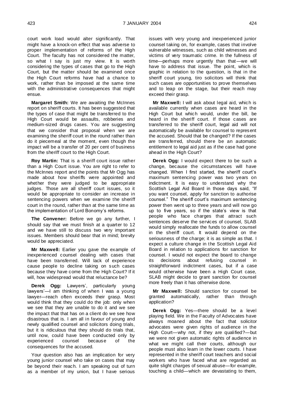court work load would alter significantly. That might have a knock-on effect that was adverse to proper implementation of reforms of the High Court. The faculty has not considered the matter, so what I say is just my view. It is worth considering the types of cases that go to the High Court, but the matter should be examined once the High Court reforms have had a chance to work, rather than be imposed at the same time with the administrative consequences that might ensue.

**Margaret Smith:** We are awaiting the McInnes report on sheriff courts. It has been suggested that the types of case that might be transferred to the High Court would be assaults, robberies and medium-sized drugs cases. You are suggesting that we consider that proposal when we are examining the sheriff court in the round rather than do it piecemeal at the moment, even though the impact will be a transfer of 20 per cent of business from the sheriff court to the High Court.

**Roy Martin:** That is a sheriff court issue rather than a High Court issue. You are right to refer to the McInnes report and the points that Mr Ogg has made about how sheriffs were appointed and whether they were judged to be appropriate judges. Those are all sheriff court issues, so it would be appropriate to consider an increase in sentencing powers when we examine the sheriff court in the round, rather than at the same time as the implementation of Lord Bonomy's reforms.

**The Convener:** Before we go any further, I should say that we must finish at a quarter to 12 and we have still to discuss two very important issues. Members should bear that in mind; brevity would be appreciated.

**Mr Maxwell:** Earlier you gave the example of inexperienced counsel dealing with cases that have been transferred. Will lack of experience cause people to decline taking on such cases because they have come from the High Court? If it will, how widespread would that reluctance be?

**Derek Ogg:** Lawyers', particularly young lawyers'—I am thinking of when I was a young lawyer—reach often exceeds their grasp. Most would think that they could do the job: only when we see that they are unable to do it and we see the impact that that has on a client do we see how disastrous that is. I am all in favour of young and newly qualified counsel and solicitors doing trials, but it is ridiculous that they should do trials that, until now, could have been conducted only by experienced counsel because of the consequences for the accused.

Your question also has an implication for very young junior counsel who take on cases that may be beyond their reach. I am speaking out of turn as a member of my union, but I have serious issues with very young and inexperienced junior counsel taking on, for example, cases that involve vulnerable witnesses, such as child witnesses and victims of very traumatic crime. In the fullness of time—perhaps more urgently than that—we will have to address that issue. The point, which is graphic in relation to the question, is that in the sheriff court young, tiro solicitors will think that such cases are opportunities to prove themselves and to leap on the stage, but their reach may exceed their grasp.

**Mr Maxwell:** I will ask about legal aid, which is available currently when cases are heard in the High Court but which would, under the bill, be heard in the sheriff court. If those cases are transferred to the sheriff court, legal aid will not automatically be available for counsel to represent the accused. Should that be changed? If the cases are transferred, should there be an automatic entitlement to legal aid just as if the case had gone ahead in the High Court?

**Derek Ogg:** I would expect there to be such a change, because the circumstances will have changed. When I first started, the sheriff court's maximum sentencing power was two years on indictment. It is easy to understand why the Scottish Legal Aid Board in those days said, "If you want counsel, apply for sanction to authorise counsel." The sheriff court's maximum sentencing power then went up to three years and will now go up to five years, so if the state's view is that people who face charges that attract such sentences deserve the services of counsel, SLAB would simply reallocate the funds to allow counsel in the sheriff court. It would depend on the seriousness of the charge; it is as simple as that. I expect a culture change in the Scottish Legal Aid Board in relation to applications for sanction for counsel. I would not expect the board to change its decisions about refusing counsel in straightforward indictment cases, but if a case would otherwise have been a High Court case, SLAB might decide to grant sanction for counsel more freely than it has otherwise done.

**Mr Maxwell:** Should sanction for counsel be granted automatically, rather than through application?

**Derek Ogg:** Yes—there should be a level playing field. We in the Faculty of Advocates have always moaned about the fact that solicitor advocates were given rights of audience in the High Court—why not, if they are qualified?—but we were not given automatic rights of audience in what we might call their courts, although our people must also learn in the lower courts. I have represented in the sheriff court teachers and social workers who have faced what are regarded as quite slight charges of sexual abuse—for example, touching a child—which are devastating to them,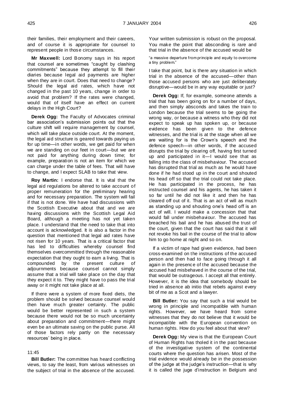their families, their employment and their careers, and of course it is appropriate for counsel to represent people in those circumstances.

**Mr Maxwell:** Lord Bonomy says in his report that counsel are sometimes "caught by clashing commitments" because they attempt to fill their diaries because legal aid payments are higher when they are in court. Does that need to change? Should the legal aid rates, which have not changed in the past 10 years, change in order to avoid that problem? If the rates were changed, would that of itself have an effect on current delays in the High Court?

**Derek Ogg:** The Faculty of Advocates criminal bar association's submission points out that the culture shift will require management by counsel, which will take place outside court. At the moment, the legal aid structure is geared towards paying us for up time—in other words, we get paid for when we are standing on our feet in court—but we are not paid for anything during down time; for example, preparation is not an item for which we can charge under the table of fees. That will have to change, and I expect SLAB to take that view.

**Roy Martin:** I endorse that. It is vital that the legal aid regulations be altered to take account of proper remuneration for the preliminary hearing and for necessary preparation. The system will fail if that is not done. We have had discussions with the Scottish Executive about that and we are having discussions with the Scottish Legal Aid Board, although a meeting has not yet taken place. I understand that the need to take that into account is acknowledged. It is also a factor in the question that mentioned that legal aid rates have not risen for 10 years. That is a critical factor that has led to difficulties whereby counsel find themselves overcommitted through the reasonable expectation that they ought to earn a living. That is compounded by the present culture of adjournments because counsel cannot simply assume that a trial will take place on the day that they expect it to. They might have to pass the trial away or it might not take place at all.

If there were a system of more fixed diets, the problem should be solved because counsel would then have much greater certainty. The public would be better represented in such a system because there would not be so much uncertainty about preparation and commitment—there might even be an ultimate saving on the public purse. All of those factors rely partly on the necessary resources' being in place.

#### $11.45$

**Bill Butler:** The committee has heard conflicting views, to say the least, from various witnesses on the subject of trial in the absence of the accused. Your written submission is robust on the proposal. You make the point that absconding is rare and that trial in the absence of the accused would be

"a massive departure from principle and equity to overcome a tiny problem."

I take that point, but is there any situation in which trial in the absence of the accused—other than those accused persons who are just deliberately disruptive—would be in any way equitable or just?

**Derek Ogg:** If, for example, someone attends a trial that has been going on for a number of days, and then simply absconds and takes the train to London because the trial seems to be going the wrong way, or because a witness who they did not expect to speak up has spoken up, or because evidence has been given to the defence witnesses, and the trial is at the stage when all we are waiting for is the Crown's speech and the defence speech—in other words, if the accused disrupts the trial by clearing off, having first turned up and participated in it—I would see that as falling into the class of misbehaviour. The accused has disrupted that trial as much as he would have done if he had stood up in the court and shouted his head off so that the trial could not take place. He has participated in the process, he has instructed counsel and his agents, he has taken it so far until he did not like it and then he has cleared off out of it. That is an act of will as much as standing up and shouting one's head off is an act of will. I would make a concession that that would fall under misbehaviour. The accused has breached his bail and he has abused the trust of the court, given that the court has said that it will not revoke his bail in the course of the trial to allow him to go home at night and so on.

If a victim of rape had given evidence, had been cross-examined on the instructions of the accused person and then had to face going through it all again in the presence of the accused because the accused had misbehaved in the course of the trial, that would be outrageous. I accept all that entirely. However, it is the idea that somebody should be tried in absence ab initio that rebels against every bit of me as a Scot and a lawyer.

**Bill Butler:** You say that such a trial would be wrong in principle and incompatible with human rights. However, we have heard from some witnesses that they do not believe that it would be incompatible with the European convention on human rights. How do you feel about that view?

**Derek Ogg:** My view is that the European Court of Human Rights has tholed it in the past because of the investigative system of the continental courts where the question has arisen. Most of the trial evidence would already be in the possession of the judge at the judge's instruction—that is why it is called the juge d'instruction in Belgium and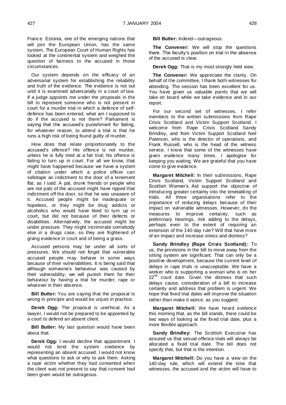France. Estonia, one of the emerging nations that will join the European Union, has the same system. The European Court of Human Rights has looked at the continental system and weighed the question of fairness to the accused in those circumstances.

Our system depends on the efficacy of an adversarial system for establishing the reliability and truth of the evidence. The evidence is not out until it is examined adversarially in a court of law. If a judge appoints me under the proposals in the bill to represent someone who is not present in court for a murder trial in which a defence of selfdefence has been entered, what am I supposed to do if the accused is not there? Parliament is saying that the accused's punishment for failing, for whatever reason, to attend a trial is that he runs a high risk of being found guilty of murder.

How does that relate proportionately to the accused's offence? His offence is not murder, unless he is fully tried at a fair trial; his offence is failing to turn up in court. For all we know, that might have happened because we have a system of citation under which a police officer can sellotape an indictment to the door of a tenement flat, as I said. A pal, drunk friends or people who are not pals of the accused might have ripped that indictment off the door, so that he was unaware of it. Accused people might be inadequate or hopeless, or they might be drug addicts or alcoholics who would have liked to turn up in court, but did not because of their defects or disabilities. Alternatively, the accused might be under pressure. They might incriminate somebody else in a drugs case, so they are frightened of giving evidence in court and of being a grass.

Accused persons may be under all sorts of pressures. We should not forget that vulnerable accused people may behave in some ways because of their vulnerabilities. It is being said that although someone's behaviour was caused by their vulnerability, we will punish them for their behaviour by having a trial for murder, rape or whatever in their absence.

**Bill Butler:** You are saying that the proposal is wrong in principle and would be unjust in practice.

**Derek Ogg:** The proposal is unethical. As a lawyer, I would not be prepared to be appointed by a court to defend an absent client.

**Bill Butler:** My last question would have been about that.

**Derek Ogg:** I would decline that appointment. I would not lend the system credence by representing an absent accused. I would not know what questions to ask or why to ask them. Asking a rape victim whether they had consented when the client was not present to say that consent had been given would be outrageous.

**Bill Butler:** Indeed—outrageous.

**The Convener:** We will stop the questions there. The faculty's position on trial in the absence of the accused is clear.

**Derek Ogg:** That is my most strongly held view.

**The Convener:** We appreciate the clarity. On behalf of the committee, I thank both witnesses for attending. The session has been excellent for us. You have given us valuable points that we will take on board while we take evidence and in our report.

For our second set of witnesses, I refer members to the written submissions from Rape Crisis Scotland and Victim Support Scotland. I welcome from Rape Crisis Scotland Sandy Brindley, and from Victim Support Scotland Neil Paterson, who is the director of operations, and Frank Russell, who is the head of the witness service. I know that some of the witnesses have given evidence many times. I apologise for keeping you waiting. We are grateful that you have come to give evidence.

**Margaret Mitchell:** In their submissions, Rape Crisis Scotland, Victim Support Scotland and Scottish Women's Aid support the objective of introducing greater certainty into the timetabling of trials. All three organisations refer to the importance of reducing delays because of their impact on vulnerable witnesses. However, do the measures to improve certainty, such as preliminary hearings, risk adding to the delays, perhaps even to the extent of requiring an extension of the 140-day rule? Will that have more of an impact and increase stress and distress?

**Sandy Brindley (Rape Crisis Scotland):** To us, the provisions in the bill to move away from the sitting system are significant. That can only be a positive development, because the current level of delays in rape trials is unacceptable. We have a worker who is supporting a woman who is on her  $22^{nd}$  court date. Given the distress that such delays cause, consideration of a bill to increase certainty and address that problem is urgent. We hope that fixed trial dates will improve the situation rather than make it worse, as you suggest.

**Margaret Mitchell:** We have heard evidence this morning that, as the bill stands, there could be two ways of looking at the fixed trial date, plus a more flexible approach.

**Sandy Brindley:** The Scottish Executive has assured us that sexual offence trials will always be allocated a fixed trial date. The bill does not specify that, but that is the intention.

**Margaret Mitchell:** Do you have a view on the 140-day rule, which will extend the time that witnesses, the accused and the victim will have to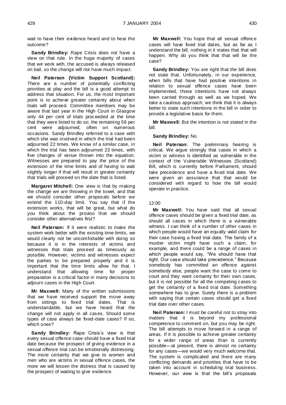wait to have their evidence heard and to hear the outcome?

**Sandy Brindley:** Rape Crisis does not have a view on that rule. In the huge majority of cases that we work with, the accused is always released on bail, so the change will not have much impact.

**Neil Paterson (Victim Support Scotland):**  There are a number of potentially conflicting priorities at play and the bill is a good attempt to address that situation. For us, the most important point is to achieve greater certainty about when trials will proceed. Committee members may be aware that last year in the High Court in Glasgow only 44 per cent of trials proceeded at the time that they were listed to do so; the remaining 56 per cent were adjourned, often on numerous occasions. Sandy Brindley referred to a case with which she was involved in which the trial had been adjourned 22 times. We know of a similar case, in which the trial has been adjourned 23 times, with five changes of venue thrown into the equation. Witnesses are prepared to pay the price of the extension of the time limits and of having to wait slightly longer if that will result in greater certainty that trials will proceed on the date that is listed.

**Margaret Mitchell:** One view is that by making the change we are throwing in the towel, and that we should consider other proposals before we extend the 110-day limit. You say that if the extension works, that will be great, but what do you think about the proviso that we should consider other alternatives first?

**Neil Paterson:** If it were realistic to make the system work better with the existing time limits, we would clearly not be uncomfortable with doing so because it is in the interests of victims and witnesses that trials proceed as timeously as possible. However, victims and witnesses expect the parties to be prepared properly and it is important that the time limits allow for that. I understand that allowing time for proper preparation is a critical factor in many decisions to adjourn cases in the High Court.

**Mr Maxwell:** Many of the written submissions that we have received support the move away from sittings to fixed trial dates. That is understandable, but we have heard that the change will not apply in all cases. Should some types of case always be fixed-date cases? If so, which ones?

**Sandy Brindley:** Rape Crisis's view is that every sexual offence case should have a fixed trial date because the prospect of giving evidence in a sexual offence trial can be emotionally distressing. The more certainty that we give to women and men who are victims in sexual offence cases, the more we will lessen the distress that is caused by the prospect of waiting to give evidence.

**Mr Maxwell:** You hope that all sexual offence cases will have fixed trial dates, but as far as I understand the bill, nothing in it states that that will happen. Why do you think that that will be the case?

**Sandy Brindley:** You are right that the bill does not state that. Unfortunately, in our experience, when bills that have had positive intentions in relation to sexual offence cases have been implemented, those intentions have not always been carried through as well as we hoped. We take a cautious approach; we think that it is always better to state such intentions in the bill in order to provide a legislative basis for them.

**Mr Maxwell:** But the intention is not stated in the bill.

#### **Sandy Brindley:** No.

**Neil Paterson:** The preliminary hearing is critical. We argue strongly that cases in which a victim or witness is identified as vulnerable in the context of the Vulnerable Witnesses (Scotland) Bill, which is currently before Parliament, should take precedence and have a fixed trial date. We were given an assurance that that would be considered with regard to how the bill would operate in practice.

# 12:00

**Mr Maxwell:** You have said that all sexual offence cases should be given a fixed trial date, as should all cases in which there is a vulnerable witness. I can think of a number of other cases in which people would have an equally valid claim for their case having a fixed trial date. The family of a murder victim might have such a claim, for example, and there could be a range of cases in which people would say, "We should have that right. Our case should take precedence." Because somebody has committed an offence against somebody else, people want the case to come to court and they want certainty for their own cases, but it is not possible for all the competing cases to get the certainty of a fixed trial date. Something somewhere has to give. Surely there is a problem with saying that certain cases should get a fixed trial date over other cases.

**Neil Paterson:** I must be careful not to stray into matters that it is beyond my professional competence to comment on, but you may be right. The bill attempts to move forward in a range of areas. If it is possible to achieve greater certainty for a wider range of areas than is currently possible—at present, there is almost no certainty for any cases—we would very much welcome that. The system is complicated and there are many conflicting demands and priorities that have to be taken into account in scheduling trial business. However, our view is that the bill's proposals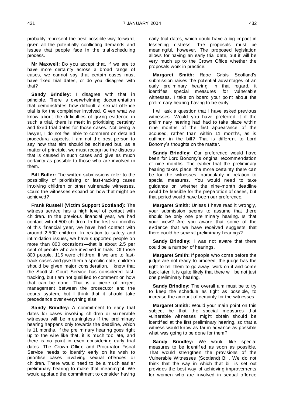probably represent the best possible way forward, given all the potentially conflicting demands and issues that people face in the trial-scheduling process.

**Mr Maxwell:** Do you accept that, if we are to have more certainty across a broad range of cases, we cannot say that certain cases must have fixed trial dates, or do you disagree with that?

**Sandy Brindley:** I disagree with that in principle. There is overwhelming documentation that demonstrates how difficult a sexual offence trial is for the complainer involved. Given what we know about the difficulties of giving evidence in such a trial, there is merit in prioritising certainty and fixed trial dates for those cases. Not being a lawyer, I do not feel able to comment on detailed procedural aspects. I am not the best person to say how that aim should be achieved but, as a matter of principle, we must recognise the distress that is caused in such cases and give as much certainty as possible to those who are involved in them.

**Bill Butler:** The written submissions refer to the possibility of prioritising or fast-tracking cases involving children or other vulnerable witnesses. Could the witnesses expand on how that might be achieved?

**Frank Russell (Victim Support Scotland):** The witness service has a high level of contact with children. In the previous financial year, we had contact with 4,500 children. In the first six months of this financial year, we have had contact with around 2,500 children. In relation to safety and intimidation issues, we have supported people on more than 800 occasions—that is about 2.5 per cent of people who are involved in trials. Of those 800 people, 115 were children. If we are to fasttrack cases and give them a specific date, children should be given major consideration. I know that the Scottish Court Service has considered fasttracking, but I am not qualified to comment on how that can be done. That is a piece of project management between the prosecutor and the courts system, but I think that it should take precedence over everything else.

**Sandy Brindley:** A commitment to early trial dates for cases involving children or vulnerable witnesses will be meaningless if the preliminary hearing happens only towards the deadline, which is 11 months. If the preliminary hearing goes right up to the wire like that, it is much too late, and there is no point in even considering early trial dates. The Crown Office and Procurator Fiscal Service needs to identify early on its wish to prioritise cases involving sexual offences or children. There would need to be a much earlier preliminary hearing to make that meaningful. We would applaud the commitment to consider having

early trial dates, which could have a big impact in lessening distress. The proposals must be meaningful, however. The proposed legislation allows for having an early trial date, but it will be very much up to the Crown Office whether the proposals work in practice.

**Margaret Smith:** Rape Crisis Scotland's submission raises the potential advantages of an early preliminary hearing; in that regard, it identifies special measures for vulnerable witnesses. I take on board your point about the preliminary hearing having to be early.

I will ask a question that I have asked previous witnesses. Would you have preferred it if the preliminary hearing had had to take place within nine months of the first appearance of the accused, rather than within 11 months, as is outlined in the bill? That is different to Lord Bonomy's thoughts on the matter.

**Sandy Brindley:** Our preference would have been for Lord Bonomy's original recommendation of nine months. The earlier that the preliminary hearing takes place, the more certainty there can be for the witnesses, particularly in relation to special measures. You would need to take guidance on whether the nine-month deadline would be feasible for the preparation of cases, but that period would have been our preference.

**Margaret Smith:** Unless I have read it wrongly, your submission seems to assume that there should be only one preliminary hearing. Is that your view? Are you aware that some of the evidence that we have received suggests that there could be several preliminary hearings?

**Sandy Brindley:** I was not aware that there could be a number of hearings.

**Margaret Smith:** If people who come before the judge are not ready to proceed, the judge has the right to tell them to go away, work on it and come back later. It is quite likely that there will be not just one preliminary hearing.

**Sandy Brindley:** The overall aim must be to try to keep the schedule as tight as possible, to increase the amount of certainty for the witnesses.

**Margaret Smith:** Would your main point on this subject be that the special measures that vulnerable witnesses might obtain should be identified at the first preliminary hearing, so that a witness would know as far in advance as possible what was going to be done for them?

**Sandy Brindley:** We would like special measures to be identified as soon as possible. That would strengthen the provisions of the Vulnerable Witnesses (Scotland) Bill. We do not think that the way in which that bill is set out provides the best way of achieving improvements for women who are involved in sexual offence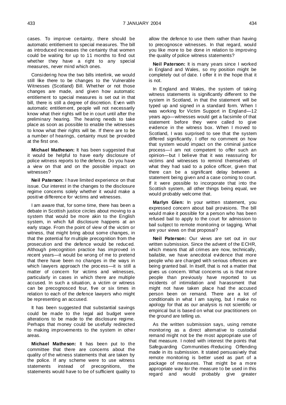cases. To improve certainty, there should be automatic entitlement to special measures. The bill as introduced increases the certainty that women could be waiting for up to 11 months to find out whether they have a right to any special measures, never mind which ones.

Considering how the two bills interlink, we would still like there to be changes to the Vulnerable Witnesses (Scotland) Bill. Whether or not those changes are made, and given how automatic entitlement to special measures is set out in that bill, there is still a degree of discretion. Even with automatic entitlement, people will not necessarily know what their rights will be in court until after the preliminary hearing. The hearing needs to take place as soon as possible to enable the witnesses to know what their rights will be. If there are to be a number of hearings, certainty must be provided at the first one.

**Michael Matheson:** It has been suggested that it would be helpful to have early disclosure of police witness reports to the defence. Do you have a view on that and on the possible impact on witnesses?

**Neil Paterson:** I have limited experience on that issue. Our interest in the changes to the disclosure regime concerns solely whether it would make a positive difference for victims and witnesses.

I am aware that, for some time, there has been a debate in Scottish justice circles about moving to a system that would be more akin to the English system, in which full disclosure happens at an early stage. From the point of view of the victim or witness, that might bring about some changes, in that the potential for multiple precognition from the prosecution and the defence would be reduced. Although precognition practice has improved in recent years—it would be wrong of me to pretend that there have been no changes in the ways in which lawyers approach the process—it is still a matter of concern for victims and witnesses, particularly in cases in which there are multiple accused. In such a situation, a victim or witness can be precognosced four, five or six times in relation to each of the defence lawyers who might be representing an accused.

It has been suggested that substantial savings could be made to the legal aid budget were alterations to be made to the disclosure regime. Perhaps that money could be usefully redirected to making improvements to the system in other areas.

**Michael Matheson:** It has been put to the committee that there are concerns about the quality of the witness statements that are taken by the police. If any scheme were to use witness statements instead of precognitions, the statements would have to be of sufficient quality to

allow the defence to use them rather than having to precognosce witnesses. In that regard, would you like more to be done in relation to improving the quality of police witness statements?

**Neil Paterson:** It is many years since I worked in England and Wales, so my position might be completely out of date. I offer it in the hope that it is not.

In England and Wales, the system of taking witness statements is significantly different to the system in Scotland, in that the statement will be typed up and signed in a standard form. When I was working for Victim Support in England—12 years ago—witnesses would get a facsimile of that statement before they were called to give evidence in the witness box. When I moved to Scotland, I was surprised to see that the system differed significantly. I offer no comment on how that system would impact on the criminal justice process—I am not competent to offer such an opinion—but I believe that it was reassuring for victims and witnesses to remind themselves of what they had said to a police officer, given that there can be a significant delay between a statement being given and a case coming to court. If it were possible to incorporate that into the Scottish system, all other things being equal, we would probably welcome that.

**Marlyn Glen:** In your written statement, you expressed concern about bail provisions. The bill would make it possible for a person who has been refused bail to apply to the court for admission to bail subject to remote monitoring or tagging. What are your views on that proposal?

**Neil Paterson:** Our views are set out in our written submission. Since the advent of the ECHR, which means that all crimes are now, technically, bailable, we have anecdotal evidence that more people who are charged with serious offences are being granted bail. In itself, that is not a matter that gives us concern. What concerns us is that more people than previously have reported to us incidents of intimidation and harassment that might not have taken place had the accused person been on remand. There are a lot of conditionals in what I am saying, but I make no apology for that as our analysis is not scientific or empirical but is based on what our practitioners on the ground are telling us.

As the written submission says, using remote monitoring as a direct alternative to custodial remand might not be the most appropriate use of that measure. I noted with interest the points that Safeguarding Communities -Reducing Offending made in its submission. It stated persuasively that remote monitoring is better used as part of a package of measures. That might be a more appropriate way for the measure to be used in this regard and would probably give greater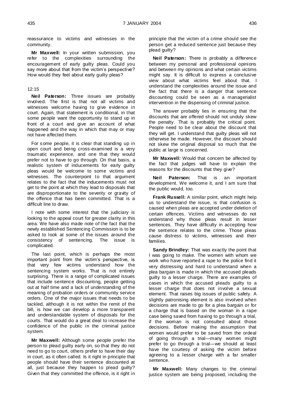reassurance to victims and witnesses in the community.

**Mr Maxwell:** In your written submission, you refer to the complexities surrounding the encouragement of early guilty pleas. Could you say more about that from the victim's perspective? How would they feel about early guilty pleas?

# 12:15

**Neil Paterson:** Three issues are probably involved. The first is that not all victims and witnesses welcome having to give evidence in court. Again, that statement is conditional, in that some people want the opportunity to stand up in front of a court and give an account of what happened and the way in which that may or may not have affected them.

For some people, it is clear that standing up in open court and being cross-examined is a very traumatic experience, and one that they would prefer not to have to go through. On that basis, a realistic system of inducements for early guilty pleas would be welcome to some victims and witnesses. The counterpoint to that argument relates to the fact that the inducements must not get to the point at which they lead to disposals that are disproportionate to the severity or gravity of the offence that has been committed. That is a difficult line to draw.

I note with some interest that the judiciary is looking to the appeal court for greater clarity in this area. We have also made note of the fact that the newly established Sentencing Commission is to be asked to look at some of the issues around the consistency of sentencing. The issue is complicated.

The last point, which is perhaps the most important point from the victim's perspective, is that very few victims understand how the sentencing system works. That is not entirely surprising. There is a range of complicated issues that include sentence discounting, people getting out at half time and a lack of understanding of the meaning of probation orders or community service orders. One of the major issues that needs to be tackled, although it is not within the remit of the bill, is how we can develop a more transparent and understandable system of disposals for the courts. That would do a great deal to increase the confidence of the public in the criminal justice system.

**Mr Maxwell:** Although some people prefer the person to plead guilty early on, so that they do not need to go to court, others prefer to have their day in court, as it often called. Is it right in principle that people should have their sentence discounted at all, just because they happen to plead guilty? Given that they committed the offence, is it right in

principle that the victim of a crime should see the person get a reduced sentence just because they plead guilty?

**Neil Paterson:** There is probably a difference between my personal and professional opinions and between my opinions and what certain victims might say. It is difficult to express a conclusive view about what victims feel about that. I understand the complexities around the issue and the fact that there is a danger that sentence discounting could be seen as a managerialist intervention in the dispensing of criminal justice.

The answer probably lies in ensuring that the discounts that are offered should not unduly skew the penalty. That is probably the critical point. People need to be clear about the discount that they will get. I understand that guilty pleas will not otherwise be made. However, the discount should not skew the original disposal so much that the public at large is concerned.

**Mr Maxwell:** Would that concern be affected by the fact that judges will have to explain the reasons for the discounts that they give?

**Neil Paterson:** That is an important development. We welcome it, and I am sure that the public would, too.

**Frank Russell:** A similar point, which might help us to understand the issue, is that confusion is caused when pleas are accepted under deletion of certain offences. Victims and witnesses do not understand why those pleas result in lesser sentences. They have difficulty in accepting how the sentence relates to the crime. Those pleas cause distress to victims, witnesses and their families.

**Sandy Brindley:** That was exactly the point that I was going to make. The women with whom we work who have reported a rape to the police find it very distressing and hard to understand when a plea bargain is made in which the accused pleads guilty to a lesser charge. There are examples of cases in which the accused pleads guilty to a lesser charge that does not involve a sexual element. That raises big issues of public safety. A slightly patronising element is also involved when decisions are made to go for a plea bargain or for a charge that is based on the woman in a rape case being saved from having to go through a trial, if the woman is not consulted about those decisions. Before making the assumption that women would prefer to be saved from the ordeal of going through a trial—many women might prefer to go through a trial—we should at least have the courtesy of asking the victim before agreeing to a lesser charge with a far smaller sentence.

**Mr Maxwell:** Many changes to the criminal justice system are being proposed, including the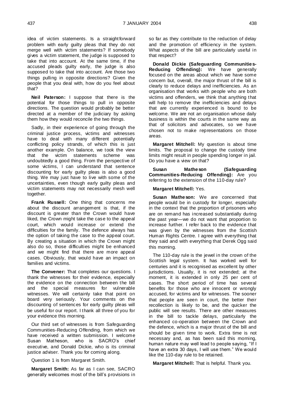idea of victim statements. Is a straight forward problem with early guilty pleas that they do not merge well with victim statements? If somebody gives a victim statement, the judge is supposed to take that into account. At the same time, if the accused pleads guilty early, the judge is also supposed to take that into account. Are those two things pulling in opposite directions? Given the people that you deal with, how do you feel about that?

**Neil Paterson:** I suppose that there is the potential for those things to pull in opposite directions. The question would probably be better directed at a member of the judiciary by asking them how they would reconcile the two things.

Sadly, in their experience of going through the criminal justice process, victims and witnesses have to deal with many different potentially conflicting policy strands, of which this is just another example. On balance, we took the view that the victim statements scheme was undoubtedly a good thing. From the perspective of some victims, I can understand that sentence discounting for early guilty pleas is also a good thing. We may just have to live with some of the uncertainties, even though early guilty pleas and victim statements may not necessarily mesh well together.

**Frank Russell:** One thing that concerns me about the discount arrangement is that, if the discount is greater than the Crown would have liked, the Crown might take the case to the appeal court, which would increase or extend the difficulties for the family. The defence always has the option of taking the case to the appeal court. By creating a situation in which the Crown might also do so, those difficulties might be enhanced and we might find that there are more appeal cases. Obviously, that would have an impact on families and victims.

**The Convener:** That completes our questions. I thank the witnesses for their evidence, especially the evidence on the connection between the bill and the special measures for vulnerable witnesses. We will certainly take that point on board very seriously. Your comments on the discounting of sentences for early guilty pleas will be useful for our report. I thank all three of you for your evidence this morning.

Our third set of witnesses is from Safeguarding Communities-Reducing Offending, from which we have received a written submission. I welcome Susan Matheson, who is SACRO's chief executive, and Donald Dickie, who is its criminal justice adviser. Thank you for coming along.

Question 1 is from Margaret Smith.

**Margaret Smith:** As far as I can see, SACRO generally welcomes most of the bill's provisions in so far as they contribute to the reduction of delay and the promotion of efficiency in the system. What aspects of the bill are particularly useful in that respect?

**Donald Dickie (Safeguarding Communities-Reducing Offending):** We have generally focused on the areas about which we have some concern but, overall, the major thrust of the bill is clearly to reduce delays and inefficiencies. As an organisation that works with people who are both victims and offenders, we think that anything that will help to remove the inefficiencies and delays that are currently experienced is bound to be welcome. We are not an organisation whose daily business is within the courts in the same way as that of solicitors and advocates, so we have chosen not to make representations on those areas.

**Margaret Mitchell:** My question is about time limits. The proposal to change the custody time limits might result in people spending longer in jail. Do you have a view on that?

**Susan Matheson (Safeguarding Communities-Reducing Offending):** Are you referring to the extension of the 110-day rule?

# **Margaret Mitchell:** Yes.

**Susan Matheson:** We are concerned that people would be in custody for longer, especially in the context that the proportion of prisoners who are on remand has increased substantially during the past year—we do not want that proportion to increase further. I refer back to the evidence that was given by the witnesses from the Scottish Human Rights Centre. I agree with everything that they said and with everything that Derek Ogg said this morning.

The 110-day rule is the jewel in the crown of the Scottish legal system. It has worked well for centuries and it is recognised as excellent by other jurisdictions. Usually, it is not extended; at the moment, it is extended in only 25 per cent of cases. The short period of time has several benefits for those who are innocent or wrongly accused, for victims and for witnesses. The sooner that people are seen in court, the better their recollection is likely to be, and the quicker the public will see results. There are other measures in the bill to tackle delays, particularly the enhanced co-operation between the Crown and the defence, which is a major thrust of the bill and should be given time to work. Extra time is not necessary and, as has been said this morning, human nature may well lead to people saying, "If I have an extra 30 days, I will use them." We would like the 110-day rule to be retained.

**Margaret Mitchell:** That is helpful. Thank you.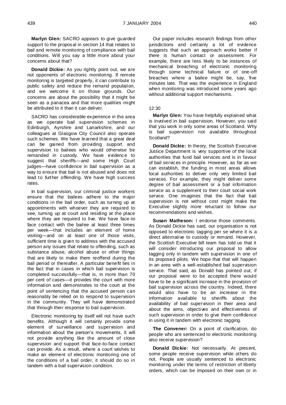**Marlyn Glen:** SACRO appears to give guarded support to the proposal in section 14 that relates to bail and remote monitoring of compliance with bail conditions. Will you say a little more about your concerns about that?

**Donald Dickie:** As you rightly point out, we are not opponents of electronic monitoring. If remote monitoring is targeted properly, it can contribute to public safety and reduce the remand population, and we welcome it on those grounds. Our concerns are about the possibility that it might be seen as a panacea and that more qualities might be attributed to it than it can deliver.

SACRO has considerable experience in the area as we operate bail supervision schemes in Edinburgh, Ayrshire and Lanarkshire, and our colleagues at Glasgow City Council also operate such schemes. We have learned that a great deal can be gained from providing support and supervision to bailees who would otherwise be remanded in custody. We have evidence to suggest that sheriffs—and some High Court judges—have confidence in bail supervision as a way to ensure that bail is not abused and does not lead to further offending. We have high success rates.

In bail supervision, our criminal justice workers ensure that the bailees adhere to the major conditions in the bail order, such as turning up at appointments with whoever they are required to see, turning up at court and residing at the place where they are required to live. We have face-to face contact with the bailee at least three times per week—that includes an element of home visiting—and on at least one of those visits, sufficient time is given to address with the accused person any issues that relate to offending, such as substance abuse, alcohol abuse or other things that are likely to make them reoffend during the bail period or thereafter. A particular benefit lies in the fact that in cases in which bail supervision is completed successfully—that is, in more than 70 per cent of cases—it provides the court with more information and demonstrates to the court at the point of sentencing that the accused person can reasonably be relied on to respond to supervision in the community. They will have demonstrated that through their response to bail supervision.

Electronic monitoring by itself will not have such benefits. Although it will certainly provide some element of surveillance and supervision and information about the person's movements, it will not provide anything like the amount of close supervision and support that face-to-face contact can provide. As a result, where a court wishes to make an element of electronic monitoring one of the conditions of a bail order, it should do so in tandem with a bail supervision condition.

Our paper includes research findings from other jurisdictions and certainly a lot of evidence suggests that such an approach works better if there is human contact or assessment. For example, there are less likely to be instances of mechanical breaching of electronic monitoring through some technical failure or of one-off breaches where a bailee might be, say, five minutes late. That was the experience in England when monitoring was introduced some years ago without additional support mechanisms.

#### $12:30$

**Marlyn Glen:** You have helpfully explained what is involved in bail supervision. However, you said that you work in only some areas of Scotland. Why is bail supervision not available throughout Scotland?

**Donald Dickie:** In theory, the Scottish Executive Justice Department is very supportive of the local authorities that fund bail services and is in favour of bail services in principle. However, as far as we can establish, the funding in most areas allows local authorities to deliver only very limited bail services. For example, they might deliver some degree of bail assessment or a bail information service as a supplement to their court social work service. One imagines that the fact that bail supervision is not without cost might make the Executive slightly more reluctant to follow our recommendations and wishes.

**Susan Matheson:** I endorse those comments. As Donald Dickie has said, our organisation is not opposed to electronic tagging per se where it is a direct alternative to custody or remand. However, the Scottish Executive bill team has told us that it will consider introducing our proposal to allow tagging only in tandem with supervision in one of its proposed pilots. We hope that that will happen in an area with a well-established bail supervision service. That said, as Donald has pointed out, if our proposal were to be accepted there would have to be a significant increase in the provision of bail supervision across the country. Indeed, there would also have to be an increase in the information available to sheriffs about the availability of bail supervision in their area and about the aims, objectives and effectiveness of such supervision in order to give them confidence in using it in tandem with electronic tagging.

**The Convener:** On a point of clarification, do people who are sentenced to electronic monitoring also receive supervision?

**Donald Dickie:** Not necessarily. At present, some people receive supervision while others do not. People are usually sentenced to electronic monitoring under the terms of restriction of liberty orders, which can be imposed on their own or in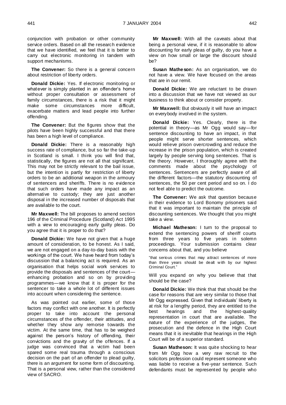conjunction with probation or other community service orders. Based on all the research evidence that we have identified, we feel that it is better to carry out electronic monitoring in tandem with support mechanisms.

**The Convener:** So there is a general concern about restriction of liberty orders.

**Donald Dickie:** Yes. If electronic monitoring or whatever is simply planted in an offender's home without proper consultation or assessment of family circumstances, there is a risk that it might make some circumstances more difficult, exacerbate matters and lead people into further offending.

**The Convener:** But the figures show that the pilots have been highly successful and that there has been a high level of compliance.

**Donald Dickie:** There is a reasonably high success rate of compliance, but so far the take-up in Scotland is small. I think you will find that, statistically, the figures are not all that significant. This may not be strictly relevant to the bail issue, but the intention is partly for restriction of liberty orders to be an additional weapon in the armoury of sentencers and sheriffs. There is no evidence that such orders have made any impact as an alternative to custody; they are just another disposal in the increased number of disposals that are available to the court.

**Mr Maxwell:** The bill proposes to amend section 196 of the Criminal Procedure (Scotland) Act 1995 with a view to encouraging early guilty pleas. Do you agree that it is proper to do that?

**Donald Dickie:** We have not given that a huge amount of consideration, to be honest. As I said, we are not engaged on a day-to-day basis with the workings of the court. We have heard from today's discussion that a balancing act is required. As an organisation that helps social work services to provide the disposals and sentences of the court enhancing probation and so on by providing programmes—we know that it is proper for the sentencer to take a whole lot of different issues into account when considering the sentence.

As was pointed out earlier, some of those factors may conflict with one another. It is perfectly proper to take into account the personal circumstances of the offender, their attitudes, and whether they show any remorse towards the victim. At the same time, that has to be weighed against the person's history of offending, their convictions and the gravity of the offences. If a judge was convinced that a victim had been spared some real trauma through a conscious decision on the part of an offender to plead guilty, there is an argument for some form of discounting. That is a personal view, rather than the considered view of SACRO.

**Mr Maxwell:** With all the caveats about that being a personal view, if it is reasonable to allow discounting for early pleas of guilty, do you have a view on how small or large the discount should be?

**Susan Matheson:** As an organisation, we do not have a view. We have focused on the areas that are in our remit.

**Donald Dickie:** We are reluctant to be drawn into a discussion that we have not viewed as our business to think about or consider properly.

**Mr Maxwell:** But obviously it will have an impact on everybody involved in the system.

**Donald Dickie:** Yes. Clearly, there is the potential in theory—as Mr Ogg would say—for sentence discounting to have an impact, in that people might serve shorter sentences, which would relieve prison overcrowding and reduce the increase in the prison population, which is created largely by people serving long sentences. That is the theory. However, I thoroughly agree with the comments made about the psychology of sentences. Sentencers are perfectly aware of all the different factors—the statutory discounting of sentences, the 50 per cent period and so on. I do not feel able to predict the outcome.

**The Convener:** We ask that question because in their evidence to Lord Bonomy prisoners said that it was important to maintain the principle of discounting sentences. We thought that you might take a view.

**Michael Matheson:** I turn to the proposal to extend the sentencing powers of sheriff courts from three years to five years in solemn proceedings. Your submission contains clear concerns about that, and you believe

"that serious crimes that may attract sentences of more than three years should be dealt w ith by our highest Criminal Court."

Will you expand on why you believe that that should be the case?

**Donald Dickie:** We think that that should be the case for reasons that are very similar to those that Mr Ogg expressed. Given that individuals' liberty is at risk for a lengthy period, they are entitled to the best hearings and the highest-quality representation in court that are available. The nature of the experience of the judges, the prosecution and the defence in the High Court means that it is inevitable that hearings in the High Court will be of a superior standard.

**Susan Matheson:** It was quite shocking to hear from Mr Ogg how a very raw recruit to the solicitors profession could represent someone who was liable to receive a five-year sentence. Such defendants must be represented by people who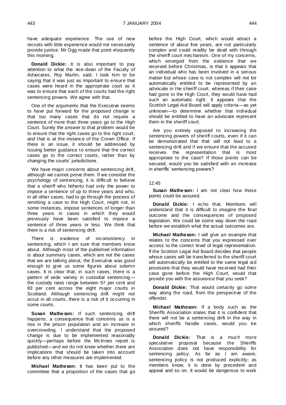have adequate experience. The use of new recruits with little experience would not necessarily provide justice. Mr Ogg made that point eloquently this morning.

**Donald Dickie:** It is also important to pay attention to what the vice-dean of the Faculty of Advocates, Roy Martin, said. I took him to be saying that it was just as important to ensure that cases were heard in the appropriate court as it was to ensure that each of the courts had the right sentencing powers. We agree with that.

One of the arguments that the Executive seems to have put forward for the proposed change is that too many cases that do not require a sentence of more than three years go to the High Court. Surely the answer to that problem would be to ensure that the right cases go to the right court, and that is at the instance of the Crown Office. If there is an issue, it should be addressed by issuing better guidance to ensure that the correct cases go to the correct courts, rather than by changing the courts' jurisdictions.

We have major concerns about sentencing drift, although we cannot prove them. If we consider the psychology of sentencing, it is difficult to believe that a sheriff who hitherto had only the power to impose a sentence of up to three years and who, in all other cases, had to go through the process of remitting a case to the High Court, might not, in some instances, impose sentences of longer than three years in cases in which they would previously have been satisfied to impose a sentence of three years or less. We think that there is a risk of sentencing drift.

There is evidence of inconsistency in sentencing, which I am sure that members know about. Although most of the published information is about summary cases, which are not the cases that we are talking about, the Executive was good enough to give us some figures about solemn cases. It is clear that, in such cases, there is a pattern of wide variety in custodial sentencing the custody rates range between 57 per cent and 83 per cent across the eight major courts in Scotland. Although sentencing drift might not occur in all courts, there is a risk of it occurring in some courts.

**Susan Matheson:** If such sentencing drift happens, a consequence that concerns us is a rise in the prison population and an increase in overcrowding. I understand that the proposed change is due to be implemented reasonably quickly—perhaps before the McInnes report is published—and we do not know whether there are implications that should be taken into account before any other measures are implemented.

**Michael Matheson:** It has been put to the committee that a proportion of the cases that go before the High Court, which would attract a sentence of about five years, are not particularly complex and could readily be dealt with through the sheriff court mechanism. One of my concerns, which emerged from the evidence that we received before Christmas, is that it appears that an individual who has been involved in a serious matter but whose case is not complex will not be automatically entitled to be represented by an advocate in the sheriff court, whereas if their case had gone to the High Court, they would have had such an automatic right. It appears that the Scottish Legal Aid Board will apply criteria—as yet unknown—to determine whether that individual should be entitled to have an advocate represent them in the sheriff court.

Are you entirely opposed to increasing the sentencing powers of sheriff courts, even if it can be demonstrated that that will not lead to a sentencing drift and if we ensure that the accused receives the representation that is most appropriate to the case? If those points can be secured, would you be satisfied with an increase in sheriffs' sentencing powers?

#### $12.45$

**Susan Matheson:** I am not clear how those points could be assured.

**Donald Dickie:** I echo that. Members will understand that it is difficult to imagine the final outcome and the consequences of proposed legislation. We could be some way down the road before we establish what the actual outcomes are.

**Michael Matheson:** I will give an example that relates to the concerns that you expressed over access to the correct level of legal representation. If the Scottish Legal Aid Board decides that people whose cases will be transferred to the sheriff court will automatically be entitled to the same legal aid provisions that they would have received had their case gone before the High Court, would that provide you with the assurance that you seek?

**Donald Dickie:** That would certainly go some way along the road, from the perspective of the offender.

**Michael Matheson:** If a body such as the Sheriffs Association states that it is confident that there will not be a sentencing drift in the way in which sheriffs handle cases, would you be assured?

**Donald Dickie:** That is a much more speculative proposal because the Sheriffs Association does not have responsibility for sentencing policy. As far as I am aware, sentencing policy is not produced explicitly; as members know, it is done by precedent and appeal and so on. It would be dangerous to work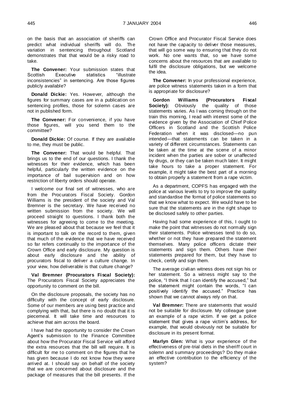on the basis that an association of sheriffs can predict what individual sheriffs will do. The variation in sentencing throughout Scotland demonstrates that that would be a risky road to take.

**The Convener:** Your submission states that Scottish Executive statistics "illustrate" Executive statistics "illustrate inconsistencies" in sentencing. Are those figures publicly available?

**Donald Dickie:** Yes. However, although the figures for summary cases are in a publication on sentencing profiles, those for solemn cases are not in published form.

**The Convener:** For convenience, if you have those figures, will you send them to the committee?

**Donald Dickie:** Of course. If they are available to me, they must be public.

**The Convener:** That would be helpful. That brings us to the end of our questions. I thank the witnesses for their evidence, which has been helpful, particularly the written evidence on the importance of bail supervision and on how restriction of liberty orders should operate.

I welcome our final set of witnesses, who are from the Procurators Fiscal Society. Gordon Williams is the president of the society and Val Bremner is the secretary. We have received no written submission from the society. We will proceed straight to questions. I thank both the witnesses for agreeing to come to the meeting. We are pleased about that because we feel that it is important to talk on the record to them, given that much of the evidence that we have received so far refers continually to the importance of the Crown Office and early disclosure. My question is about early disclosure and the ability of procurators fiscal to deliver a culture change. In your view, how deliverable is that culture change?

**Val Bremner (Procurators Fiscal Society):**  The Procurators Fiscal Society appreciates the opportunity to comment on the bill.

On the disclosure proposals, the society has no difficulty with the concept of early disclosure. Some of our members are using best practice and complying with that, but there is no doubt that it is piecemeal. It will take time and resources to achieve that aim across the board.

I have had the opportunity to consider the Crown Agent's submission to the Finance Committee about how the Procurator Fiscal Service will afford the extra resources that the bill will require. It is difficult for me to comment on the figures that he has given because I do not know how they were arrived at. I should say on behalf of the society that we are concerned about disclosure and the package of measures that the bill presents. If the

Crown Office and Procurator Fiscal Service does not have the capacity to deliver those measures, that will go some way to ensuring that they do not work. No one wants that, so we have some concerns about the resources that are available to fulfil the disclosure obligations, but we welcome the idea.

**The Convener:** In your professional experience, are police witness statements taken in a form that is appropriate for disclosure?

**Gordon Williams (Procurators Fiscal Society):** Obviously the quality of those statements varies. As I was coming through on the train this morning, I read with interest some of the evidence given by the Association of Chief Police Officers in Scotland and the Scottish Police Federation when it was disclosed—no pun intended—that statements can be taken in a variety of different circumstances. Statements can be taken at the time at the scene of a minor incident when the parties are sober or unaffected by drugs, or they can be taken much later. It might take hours to take a proper statement. For example, it might take the best part of a morning to obtain properly a statement from a rape victim.

As a department, COPFS has engaged with the police at various levels to try to improve the quality and standardise the format of police statements so that we know what to expect. We would have to be sure that the statements are in the right shape to be disclosed safely to other parties.

Having had some experience of this, I ought to make the point that witnesses do not normally sign their statements. Police witnesses tend to do so, whether or not they have prepared the statement themselves. Many police officers dictate their statements and sign them. Others have their statements prepared for them, but they have to check, certify and sign them.

The average civilian witness does not sign his or her statement. So a witness might say to the police, "I think that I can identify the accused," but the statement might contain the words, "I can positively identify the accused." Practice has shown that we cannot always rely on that.

**Val Bremner:** There are statements that would not be suitable for disclosure. My colleague gave an example of a rape victim. If we get a police statement that gives a rape victim's address, for example, that would obviously not be suitable for disclosure in its present format.

**Marlyn Glen:** What is your experience of the effectiveness of pre-trial diets in the sheriff court in solemn and summary proceedings? Do they make an effective contribution to the efficiency of the system?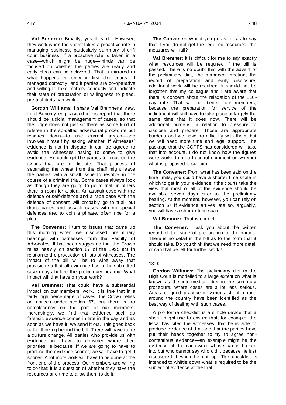**Val Bremner:** Broadly, yes they do. However, they work when the sheriff takes a proactive role in managing business, particularly summary sheriff court business. If a proactive role is taken in a case—which might be huge—minds can be focused on whether the parties are ready and early pleas can be delivered. That is mirrored in what happens currently in first diet courts. If managed correctly, and if parties are co-operative and willing to take matters seriously and indicate their state of preparation or willingness to plead, pre-trial diets can work.

**Gordon Williams:** I share Val Bremner's view. Lord Bonomy emphasised in his report that there should be judicial management of cases, so that the judge does not just sit there as some kind of referee in the so-called adversarial procedure but reaches down—to use current jargon—and involves himself by asking whether, if witnesses' evidence is not in dispute, it can be agreed to avoid the witnesses having to come to give evidence. He could get the parties to focus on the issues that are in dispute. That process of separating the wheat from the chaff might leave the parties with a small issue to resolve in the course of a criminal trial. Some cases always look as though they are going to go to trial; in others there is room for a plea. An assault case with the defence of self-defence and a rape case with the defence of consent will probably go to trial, but drugs cases and assault cases with no special defences are, to coin a phrase, often ripe for a plea.

**The Convener:** I turn to issues that came up this morning when we discussed preliminary hearings with witnesses from the Faculty of Advocates. It has been suggested that the Crown relies heavily on section 67 of the 1995 act in relation to the production of lists of witnesses. The impact of the bill will be to wipe away that provision so that all evidence has to be submitted seven days before the preliminary hearing. What impact will that have on your work?

**Val Bremner:** That could have a substantial impact on our members' work. It is true that in a fairly high percentage of cases, the Crown relies on notices under section 67, but there is no complacency on the part of our members. Increasingly, we find that evidence such as forensic evidence comes in late in the day and as soon as we have it, we send it out. This goes back to the thinking behind the bill. There will have to be a culture change. All parties who provide us with evidence will have to consider where their priorities lie because, if we are going to have to produce the evidence sooner, we will have to get it sooner. A lot more work will have to be done at the front end of the process. Our members are willing to do that; it is a question of whether they have the resources and time to allow them to do it.

**The Convener:** Would you go as far as to say that if you do not get the required resources, the measures will fail?

**Val Bremner:** It is difficult for me to say exactly what resources will be required if the bill is passed. There is no doubt that with the advent of the preliminary diet, the managed meeting, the record of preparation and early disclosure, additional work will be required. It should not be forgotten that my colleague and I are aware that there is concern about the relaxation of the 110 day rule. That will not benefit our members, because the preparation for service of the indictment will still have to take place at largely the same time that it does now. There will be additional burdens in relation to pressure to disclose and prepare. Those are appropriate burdens and we have no difficulty with them, but we will need more time and legal support. The package that the COPFS has considered will take that into account. I do not know how the figures were worked up so I cannot comment on whether what is proposed is sufficient.

**The Convener:** From what has been said on the time limits, you could have a shorter time scale in which to get in your evidence if the courts take the view that most or all of the evidence should be available seven days prior to the preliminary hearing. At the moment, however, you can rely on section 67 if evidence arrives late so, arguably, you will have a shorter time scale.

**Val Bremner:** That is correct.

**The Convener:** I ask you about the written record of the state of preparation of the parties. There is no detail in the bill as to the form that it should take. Do you think that we need more detail or can that be left for further work?

#### 13:00

**Gordon Williams:** The preliminary diet in the High Court is modelled to a large extent on what is known as the intermediate diet in the summary procedure, where cases are a lot less serious. Areas of good practice in various sheriff courts around the country have been identified as the best way of dealing with such cases.

A pro forma checklist is a simple device that a sheriff might use to ensure that, for example, the fiscal has cited the witnesses, that he is able to produce evidence of that and that the parties have put their heads together to try to agree noncontentious evidence—an example might be the evidence of the car owner whose car is broken into but who cannot say who did it because he just discovered it when he got up. The checklist is intended to whittle down what is required to be the subject of evidence at the trial.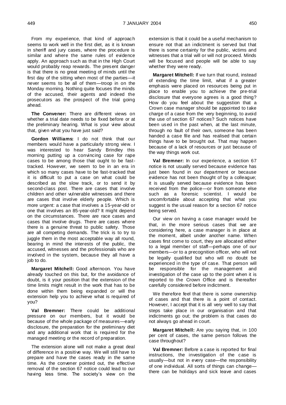From my experience, that kind of approach seems to work well in the first diet, as it is known in sheriff and jury cases, where the procedure is similar and where the same rules of evidence apply. An approach such as that in the High Court would probably reap rewards. The present danger is that there is no great meeting of minds until the first day of the sitting when most of the parties—it never seems to be all of them—troop in on the Monday morning. Nothing quite focuses the minds of the accused, their agents and indeed the prosecutors as the prospect of the trial going ahead.

**The Convener:** There are different views on whether a trial date needs to be fixed before or at the preliminary hearing. What is your view about that, given what you have just said?

**Gordon Williams:** I do not think that our members would have a particularly strong view. I was interested to hear Sandy Brindley this morning putting up a convincing case for rape cases to be among those that ought to be fasttracked. However, we seem to be in an era in which so many cases have to be fast-tracked that it is difficult to put a case on what could be described as the slow track, or to send it by second-class post. There are cases that involve children and other vulnerable witnesses and there are cases that involve elderly people. Which is more urgent: a case that involves a 15-year-old or one that involves an 85-year-old? It might depend on the circumstances. There are race cases and cases that involve drugs. There are cases where there is a genuine threat to public safety. Those are all competing demands. The trick is to try to juggle them in the most acceptable way all round, bearing in mind the interests of the public, the accused, witnesses and the professionals who are involved in the system, because they all have a job to do.

**Margaret Mitchell:** Good afternoon. You have already touched on this but, for the avoidance of doubt, is it your position that the extension of the time limits might result in the work that has to be done within them being expanded or will the extension help you to achieve what is required of you?

**Val Bremner:** There could be additional pressure on our members, but it would be because of the whole package of measures—early disclosure, the preparation for the preliminary diet and any additional work that is required for the managed meeting or the record of preparation.

The extension alone will not make a great deal of difference in a positive way. We will still have to prepare and have the cases ready in the same time. As the convener pointed out, the effective removal of the section 67 notice could lead to our having less time. The society's view on the

extension is that it could be a useful mechanism to ensure not that an indictment is served but that there is some certainty for the public, victims and witnesses that a trial will or will not proceed. Minds will be focused and people will be able to say whether they were ready.

**Margaret Mitchell:** If we turn that round, instead of extending the time limit, what if a greater emphasis were placed on resources being put in place to enable you to achieve the pre-trial disclosure that everyone agrees is a good thing? How do you feel about the suggestion that a Crown case manager should be appointed to take charge of a case from the very beginning, to avoid the use of section 67 notices? Such notices have been used in the past when, at the last minute, through no fault of their own, someone has been handed a case file and has realised that certain things have to be brought out. That may happen because of a lack of resources or just because of the way things work out.

**Val Bremner:** In our experience, a section 67 notice is not usually served because evidence has just been found in our department or because evidence has not been thought of by a colleague; it is usually served because evidence has been received from the police—or from someone else such as a forensic scientist. I would be uncomfortable about accepting that what you suggest is the usual reason for a section 67 notice being served.

Our view on having a case manager would be that, in the more serious cases that we are considering here, a case manager is in place at the moment, albeit under another name. When cases first come to court, they are allocated either to a legal member of staff—perhaps one of our members—or to a precognition officer, who will not be legally qualified but who will no doubt be experienced in the type of case. That person will be responsible for the management and investigation of the case up to the point when it is reported to the Crown Office and is thereafter carefully considered before indictment.

We therefore feel that there is some ownership of cases and that there is a point of contact. However, I accept that it is all very well to say that steps take place in our organisation and that indictments go out; the problem is that cases do not always go ahead in court.

**Margaret Mitchell:** Are you saying that, in 100 per cent of cases, the same person follows the case throughout?

**Val Bremner:** Before a case is reported for final instructions, the investigation of the case is usually—but not in every case—the responsibility of one individual. All sorts of things can change there can be holidays and sick leave and cases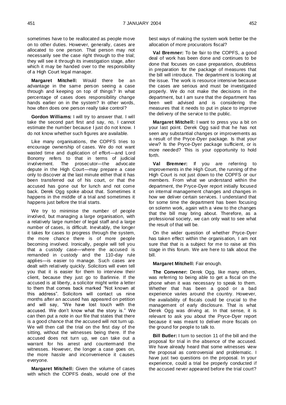sometimes have to be reallocated as people move on to other duties. However, generally, cases are allocated to one person. That person may not necessarily see the case right through to the trial; they will see it through its investigation stage, after which it may be handed over to the responsibility of a High Court legal manager.

**Margaret Mitchell:** Would there be an advantage in the same person seeing a case through and keeping on top of things? In what percentage of cases does responsibility change hands earlier on in the system? In other words, how often does one person really take control?

**Gordon Williams:** I will try to answer that. I will take the second part first and say, no, I cannot estimate the number because I just do not know. I do not know whether such figures are available.

Like many organisations, the COPFS tries to encourage ownership of cases. We do not want wasted time and duplication of effort—and Lord Bonomy refers to that in terms of judicial involvement. The prosecutor—the advocate depute in the High Court—may prepare a case only to discover at the last minute either that it has been transferred out of his court, or that the accused has gone out for lunch and not come back. Derek Ogg spoke about that. Sometimes it happens in the middle of a trial and sometimes it happens just before the trial starts.

We try to minimise the number of people involved, but managing a large organisation, with a relatively large number of legal staff and a large number of cases, is difficult. Inevitably, the longer it takes for cases to progress through the system, the more chance there is of more people becoming involved. Ironically, people will tell you that a custody case—where the accused is remanded in custody and the 110-day rule applies—is easier to manage. Such cases are dealt with relatively quickly. Solicitors will even tell you that it is easier for them to interview their client, because they just go to Barlinnie. If the accused is at liberty, a solicitor might write a letter to them that comes back marked "Not known at this address". Solicitors will contact us nine months after an accused has appeared on petition and will say, "We have lost touch with the accused. We don't know what the story is." We can then put a note in our file that states that there is a good chance that the accused will not turn up. We will then call the trial on the first day of the sitting, without the witnesses being there. If the accused does not turn up, we can take out a warrant for his arrest and countermand the witnesses. However, the longer a case goes on, the more hassle and inconvenience it causes everyone.

**Margaret Mitchell:** Given the volume of cases with which the COPFS deals, would one of the

best ways of making the system work better be the allocation of more procurators fiscal?

**Val Bremner:** To be fair to the COPFS, a good deal of work has been done and continues to be done that focuses on case preparation, doubtless in preparation for the package of measures that the bill will introduce. The department is looking at the issue. The work is resource intensive because the cases are serious and must be investigated properly. We do not make the decisions in the department, but I am sure that the department has been well advised and is considering the measures that it needs to put in place to improve the delivery of the service to the public.

**Margaret Mitchell:** I want to press you a bit on your last point. Derek Ogg said that he has not seen any substantial changes or improvements as a result of the Pryce-Dyer package. Is that your view? Is the Pryce-Dyer package sufficient, or is more needed? This is your opportunity to hold forth.

**Val Bremner:** If you are referring to improvements in the High Court, the running of the High Court is not just down to the COPFS or our members. From what we understand within the department, the Pryce-Dyer report initially focused on internal management changes and changes in how we deliver certain services. I understand that for some time the department has been focusing on solemn work, again with a view to the changes that the bill may bring about. Therefore, as a professional society, we can only wait to see what the result of that will be.

On the wider question of whether Pryce-Dyer has taken effect within the organisation, I am not sure that that is a subject for me to raise at this stage in this forum. We are here to talk about the bill.

# **Margaret Mitchell:** Fair enough.

**The Convener:** Derek Ogg, like many others, was referring to being able to get a fiscal on the phone when it was necessary to speak to them. Whether that has been a good or a bad experience varies around the country. However, the availability of fiscals could be crucial to the management of early disclosure. That is what Derek Ogg was driving at. In that sense, it is relevant to ask you about the Pryce-Dyer report because it was meant to deliver more fiscals on the ground for people to talk to.

**Bill Butler:** I turn to section 11 of the bill and the proposal for trial in the absence of the accused. We have already heard that some witnesses view the proposal as controversial and problematic. I have just two questions on the proposal. In your experience, could a trial be properly conducted if the accused never appeared before the trial court?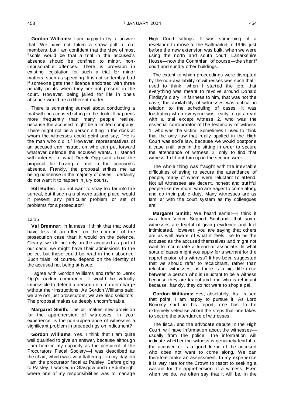**Gordon Williams:** I am happy to try to answer that. We have not taken a straw poll of our members, but I am confident that the view of most fiscals would be that a trial in the accused's absence should be confined to minor, nonimprisonable offences. There is provision in existing legislation for such a trial for minor matters, such as speeding. It is not so terribly bad if someone gets their licence endorsed with three penalty points when they are not present in the court. However, being jailed for life in one's absence would be a different matter.

There is something surreal about conducting a trial with no accused sitting in the dock. It happens more frequently than many people realise, because the accused might be a limited company. There might not be a person sitting in the dock at whom the witnesses could point and say, "He is the man who did it." However, representatives of an accused can instruct on who can put forward whatever defence the accused wants. I listened with interest to what Derek Ogg said about the proposal for having a trial in the accused's absence. Frankly, the proposal strikes me as being nonsense in the majority of cases. I certainly do not want it to happen in jury courts.

**Bill Butler:** I do not want to stray too far into the surreal, but if such a trial were taking place, would it present any particular problem or set of problems for a prosecutor?

#### 13:15

**Val Bremner:** In fairness, I think that that would have less of an effect on the conduct of the prosecution case than it would on the defence. Clearly, we do not rely on the accused as part of our case; we might have their admissions to the police, but those could be read in their absence. Such trials, of course, depend on the identity of the accused not being at issue.

I agree with Gordon Williams and refer to Derek Ogg's earlier comments. It would be virtually impossible to defend a person on a murder charge without their instructions. As Gordon Williams said, we are not just prosecutors; we are also solicitors. The proposal makes us deeply uncomfortable.

**Margaret Smith:** The bill makes new provision for the apprehension of witnesses. In your experience, is the non-appearance of witnesses a significant problem in proceedings on indictment?

**Gordon Williams:** Yes. I think that I am quite well qualified to give an answer, because although I am here in my capacity as the president of the Procurators Fiscal Society—I was described as the chair, which was very flattering—in my day job I am the procurator fiscal at Paisley. Before going to Paisley, I worked in Glasgow and in Edinburgh, where one of my responsibilities was to manage

High Court sittings. It was something of a revelation to move to the Saltmarket in 1996, just before the new extension was built, when we were using the north and south court, Lanarkshire House—now the Corinthian, of course—the sheriff court and sundry other buildings.

The extent to which proceedings were disrupted by the non-availability of witnesses was such that I used to think, when I started the job, that everything was meant to revolve around Donald Findlay's diary. In fairness to him, that was not the case; the availability of witnesses was critical in relation to the scheduling of cases. It was frustrating when everyone was ready to go ahead with a trial except witness 2, who was the essential corroborator of the testimony of witness 1, who was the victim. Sometimes I used to think that the only law that really applied in the High Court was sod's law, because we would postpone a case until later in the sitting in order to secure the attendance of witness 2, only to find that witness 1 did not turn up in the second week.

The whole thing was fraught with the inevitable difficulties of trying to secure the attendance of people, many of whom were reluctant to attend. Not all witnesses are decent, honest and truthful people like my mum, who are eager to come along and do their public duty. Many witnesses are as familiar with the court system as my colleagues are.

**Margaret Smith:** We heard earlier—I think it was from Victim Support Scotland—that some witnesses are fearful of giving evidence and feel intimidated. However, you are saying that others are as well aware of what it feels like to be the accused as the accused themselves and might not want to incriminate a friend or associate. In what sorts of cases might you apply for a warrant for the apprehension of a witness? It has been suggested that we should refer to recalcitrant, rather than reluctant witnesses, as there is a big difference between a person who is reluctant to be a witness because they are fearful and one who is reluctant because, frankly, they do not want to shop a pal.

**Gordon Williams:** Yes, absolutely. As I raised that point, I am happy to pursue it. As Lord Bonomy said in his report, one has to be extremely selective about the steps that one takes to secure the attendance of witnesses.

The fiscal, and the advocate depute in the High Court, will have information about the witnesses usually from the police. The information will indicate whether the witness is genuinely fearful of the accused or is a good friend of the accused who does not want to come along. We can therefore make an assessment. In my experience it is very rare for the Crown to resort to seeking a warrant for the apprehension of a witness. Even when we do, we often say that it will be, in the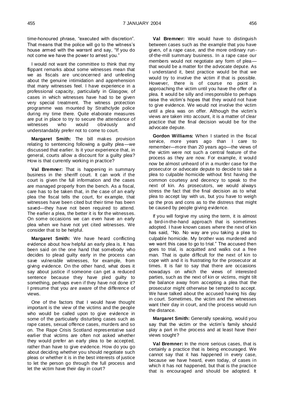time-honoured phrase, "executed with discretion". That means that the police will go to the witness's house armed with the warrant and say, "If you do not come we have the power to arrest you."

I would not want the committee to think that my flippant remarks about some witnesses mean that we as fiscals are unconcerned and unfeeling about the genuine intimidation and apprehension that many witnesses feel. I have experience in a professional capacity, particularly in Glasgow, of cases in which witnesses have had to be given very special treatment. The witness protection programme was mounted by Strathclyde police during my time there. Quite elaborate measures are put in place to try to secure the attendance of witnesses who would obviously and obviously and understandably prefer not to come to court.

**Margaret Smith:** The bill makes provision relating to sentencing following a guilty plea—we discussed that earlier. Is it your experience that, in general, courts allow a discount for a guilty plea? How is that currently working in practice?

**Val Bremner:** That is happening in summary business in the sheriff court. It can work if the court is given the full information and the cases are managed properly from the bench. As a fiscal, care has to be taken that, in the case of an early plea the fiscal tells the court, for example, that witnesses have been cited but their time has been saved—they have not been required to attend. The earlier a plea, the better it is for the witnesses. On some occasions we can even have an early plea when we have not yet cited witnesses. We consider that to be helpful.

**Margaret Smith:** We have heard conflicting evidence about how helpful an early plea is. It has been said on the one hand that somebody who decides to plead guilty early in the process can save vulnerable witnesses, for example, from giving evidence. On the other hand, what does it say about justice if someone can get a reduced sentence because they have pled guilty to something, perhaps even if they have not done it? I presume that you are aware of the difference of views.

One of the factors that I would have thought important is the view of the victims and the people who would be called upon to give evidence in some of the particularly disturbing cases such as rape cases, sexual offence cases, murders and so on. The Rape Crisis Scotland representative said earlier that victims are often not asked whether they would prefer an early plea to be accepted, rather than have to give evidence. How do you go about deciding whether you should negotiate such pleas or whether it is in the best interests of justice to let the person go through the full process and let the victim have their day in court?

**Val Bremner:** We would have to distinguish between cases such as the example that you have given, of a rape case, and the more ordinary runof-the-mill summary business. In a rape case our members would not negotiate any form of plea that would be a matter for the advocate depute. As I understand it, best practice would be that we would try to involve the victim if that is possible. However, there is of course no point in approaching the victim until you have the offer of a plea. It would be silly and irresponsible to perhaps raise the victim's hopes that they would not have to give evidence. We would not involve the victim until a plea was on offer. Although the victim's views are taken into account, it is a matter of clear practice that the final decision would be for the advocate depute.

**Gordon Williams:** When I started in the fiscal service, more years ago than I care to remember—more than 20 years ago—the views of the victim were not such a central feature of the process as they are now. For example, it would now be almost unheard of in a murder case for the prosecutor or advocate depute to decide to take a plea to culpable homicide without first having the common courtesy and decency to speak to the next of kin. As prosecutors, we would always stress the fact that the final decision as to what plea to accept lay with us, but you have to weigh up the pros and cons as to the distress that might be caused by people giving evidence.

If you will forgive my using the term, it is almost a bird-in-the-hand approach that is sometimes adopted. I have known cases where the next of kin has said, "No. No way are you taking a plea to culpable homicide. My brother was murdered and we want this case to go to trial." The accused then goes to trial, is acquitted and walks out a free man. That is quite difficult for the next of kin to cope with and it is frustrating for the prosecutor at times. It is fair to say that there are occasions nowadays on which the views of interested parties, such as the next of kin or victims, might tilt the balance away from accepting a plea that the prosecutor might otherwise be tempted to accept. We have talked about the accused having his day in court. Sometimes, the victim and the witnesses want their day in court, and the process would run the distance.

**Margaret Smith:** Generally speaking, would you say that the victim or the victim's family should play a part in the process and at least have their views sought?

**Val Bremner:** In the more serious cases, that is certainly a practice that is being encouraged. We cannot say that it has happened in every case, because we have heard, even today, of cases in which it has not happened, but that is the practice that is encouraged and should be adopted. It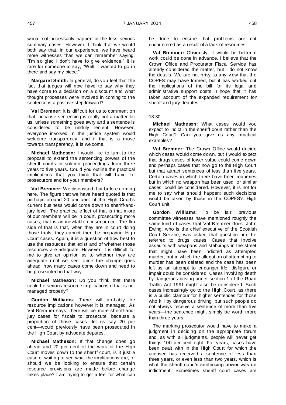would not necessarily happen in the less serious summary cases. However, I think that we would both say that, in our experience, we have heard more witnesses than we can remember saying, "I'm so glad I don't have to give evidence." It is rare for someone to say, "Well, I wanted to go in there and say my piece."

**Margaret Smith:** In general, do you feel that the fact that judges will now have to say why they have come to a decision on a discount and what thought processes were involved in coming to the sentence is a positive step forward?

**Val Bremner:** It is difficult for us to comment on that, because sentencing is really not a matter for us, unless something goes awry and a sentence is considered to be unduly lenient. However, everyone involved in the justice system would welcome transparency, and if that is a move towards transparency, it is welcome.

**Michael Matheson:** I would like to turn to the proposal to extend the sentencing powers of the sheriff courts in solemn proceedings from three years to five years. Could you outline the practical implications that you think that will have for prosecutors and for your members?

**Val Bremner:** We discussed that before coming here. The figure that we have heard quoted is that perhaps around 20 per cent of the High Court's current business would come down to sheriff-andjury level. The practical effect of that is that m ore of our members will be in court, prosecuting more cases; that is an inevitable consequence. The flip side of that is that, when they are in court doing those trials, they cannot then be preparing High Court cases. Again, it is a question of how best to use the resources that exist and of whether those resources are adequate. However, it is difficult for me to give an opinion as to whether they are adequate until we see, once the change goes ahead, how many cases come down and need to be prosecuted in that way.

**Michael Matheson:** Do you think that there could be serious resource implications if that is not managed properly?

**Gordon Williams:** There will probably be resource implications however it is managed. As Val Bremner says, there will be more sheriff-andjury cases for fiscals to prosecute, because a proportion of those cases—let us say 20 per cent—would previously have been prosecuted in the High Court by advocate deputes.

**Michael Matheson:** If that change does go ahead and 20 per cent of the work of the High Court moves down to the sheriff court, is it just a case of waiting to see what the implications are, or should we be looking to ensure that certain resource provisions are made before change takes place? I am trying to get a feel for what can

be done to ensure that problems are not encountered as a result of a lack of resources.

**Val Bremner:** Obviously, it would be better if work could be done in advance. I believe that the Crown Office and Procurator Fiscal Service has already considered the matter, but I do not know the details. We are not privy to any view that the COPFS may have formed, but it has worked out the implications of the bill for its legal and administrative support costs. I hope that it has taken account of the expanded requirement for sheriff and jury deputes.

## 13:30

**Michael Matheson:** What cases would you expect to indict in the sheriff court rather than the High Court? Can you give us any practical examples?

**Val Bremner:** The Crown Office would decide which cases would come down, but I would expect that drugs cases of lower value could come down and perhaps cases that now go to the High Court but that attract sentences of less than five years. Certain cases in which there have been robberies but in which no weapon has been used, or similar cases, could be considered. However, it is not for me to say what should happen; such decisions would be taken by those in the COPFS's High Court unit.

**Gordon Williams:** To be fair, previous committee witnesses have mentioned roughly the same kind of cases that Val Bremner does. John Ewing, who is the chief executive of the Scottish Court Service, was asked that question and he referred to drugs cases. Cases that involve assaults with weapons and stabbings in the street that might have been indicted as attempted murder, but in which the allegation of attempting to murder has been deleted and the case has been left as an attempt to endanger life, disfigure or impair could be considered. Cases involving death by dangerous driving under section 1 of the Road Traffic Act 1991 might also be considered. Such cases increasingly go to the High Court, as there is a public clamour for higher sentences for those who kill by dangerous driving, but such people do not always receive a sentence of more than five years—the sentence might simply be worth more than three years.

The marking prosecutor would have to make a judgment in deciding on the appropriate forum and, as with all judgments, people will never get things 100 per cent right. For years, cases have been dealt with in the High Court for which the accused has received a sentence of less than three years, or even less than two years, which is what the sheriff court's sentencing power was on indictment. Sometimes sheriff court cases are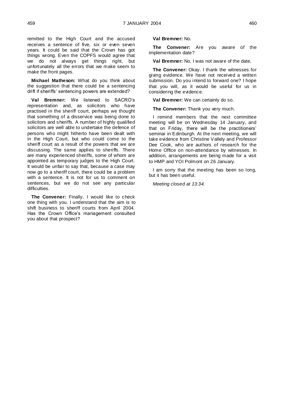remitted to the High Court and the accused receives a sentence of five, six or even seven years. It could be said that the Crown has got things wrong. Even the COPFS would agree that we do not always get things right, but unfortunately all the errors that we make seem to make the front pages.

**Michael Matheson:** What do you think about the suggestion that there could be a sentencing drift if sheriffs' sentencing powers are extended?

**Val Bremner:** We listened to SACRO's representation and, as solicitors who have practised in the sheriff court, perhaps we thought that something of a disservice was being done to solicitors and sheriffs. A number of highly qualified solicitors are well able to undertake the defence of persons who might hitherto have been dealt with in the High Court, but who could come to the sheriff court as a result of the powers that we are discussing. The same applies to sheriffs. There are many experienced sheriffs, some of whom are appointed as temporary judges to the High Court. It would be unfair to say that, because a case may now go to a sheriff court, there could be a problem with a sentence. It is not for us to comment on sentences, but we do not see any particular difficulties.

**The Convener:** Finally, I would like to check one thing with you. I understand that the aim is to shift business to sheriff courts from April 2004. Has the Crown Office's management consulted you about that prospect?

## **Val Bremner:** No.

**The Convener:** Are you aware of the implementation date?

**Val Bremner:** No, I was not aware of the date.

**The Convener:** Okay. I thank the witnesses for giving evidence. We have not received a written submission. Do you intend to forward one? I hope that you will, as it would be useful for us in considering the evidence.

**Val Bremner:** We can certainly do so.

**The Convener:** Thank you very much.

I remind members that the next committee meeting will be on Wednesday 14 January, and that on Friday, there will be the practitioners' seminar in Edinburgh. At the next meeting, we will take evidence from Christine Vallely and Professor Dee Cook, who are authors of research for the Home Office on non-attendance by witnesses. In addition, arrangements are being made for a visit to HMP and YOI Polmont on 26 January.

I am sorry that the meeting has been so long, but it has been useful.

*Meeting closed at 13:34.*